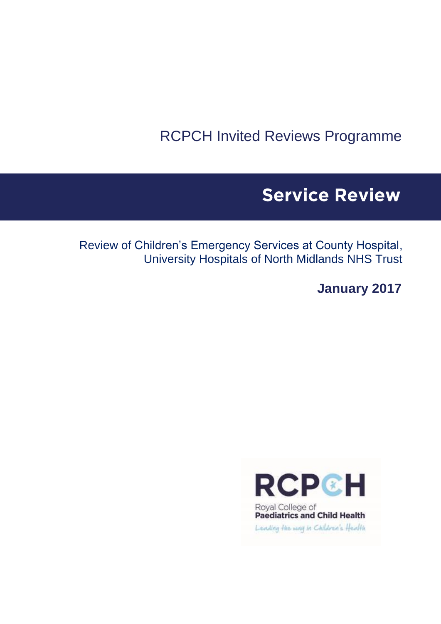RCPCH Invited Reviews Programme

# **Service Review**

Review of Children's Emergency Services at County Hospital, University Hospitals of North Midlands NHS Trust

**January 2017**



Leading the way in Children's Health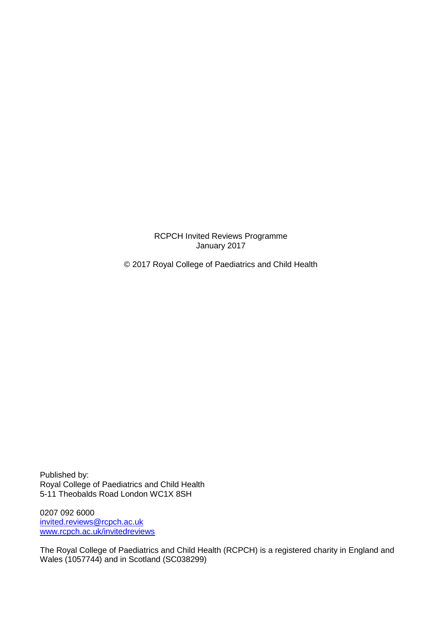RCPCH Invited Reviews Programme January 2017

© 2017 Royal College of Paediatrics and Child Health

Published by: Royal College of Paediatrics and Child Health 5-11 Theobalds Road London WC1X 8SH

0207 092 6000 [invited.reviews@rcpch.ac.uk](mailto:invited.reviews@rcpch.ac.uk) [www.rcpch.ac.uk/invitedreviews](http://www.rcpch.ac.uk/invitedreviews)

The Royal College of Paediatrics and Child Health (RCPCH) is a registered charity in England and Wales (1057744) and in Scotland (SC038299)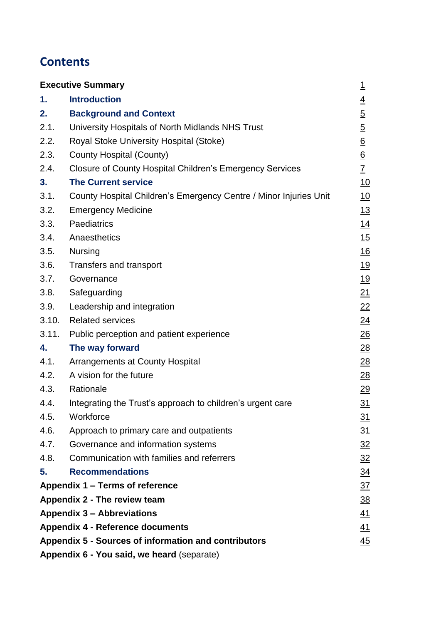# **Contents**

|                                                                          | <b>Executive Summary</b>                                          | $\overline{1}$   |
|--------------------------------------------------------------------------|-------------------------------------------------------------------|------------------|
| 1.                                                                       | <b>Introduction</b>                                               | $\overline{4}$   |
| 2.                                                                       | <b>Background and Context</b>                                     | $\overline{5}$   |
| 2.1.                                                                     | University Hospitals of North Midlands NHS Trust                  | $\overline{5}$   |
| 2.2.                                                                     | Royal Stoke University Hospital (Stoke)                           | $\underline{6}$  |
| 2.3.                                                                     | County Hospital (County)                                          | $\underline{6}$  |
| 2.4.                                                                     | <b>Closure of County Hospital Children's Emergency Services</b>   | $\underline{7}$  |
| 3.                                                                       | <b>The Current service</b>                                        | 10               |
| 3.1.                                                                     | County Hospital Children's Emergency Centre / Minor Injuries Unit | <u>10</u>        |
| 3.2.                                                                     | <b>Emergency Medicine</b>                                         | 13               |
| 3.3.                                                                     | Paediatrics                                                       | 14               |
| 3.4.                                                                     | Anaesthetics                                                      | 15               |
| 3.5.                                                                     | <b>Nursing</b>                                                    | 16               |
| 3.6.                                                                     | Transfers and transport                                           | <u>19</u>        |
| 3.7.                                                                     | Governance                                                        | <u>19</u>        |
| 3.8.                                                                     | Safeguarding                                                      | 21               |
| 3.9.                                                                     | Leadership and integration                                        | 22               |
| 3.10.                                                                    | <b>Related services</b>                                           | $\overline{24}$  |
| 3.11.                                                                    | Public perception and patient experience                          | $\frac{26}{5}$   |
| 4.                                                                       | The way forward                                                   | 28               |
| 4.1.                                                                     | <b>Arrangements at County Hospital</b>                            | $\overline{28}$  |
| 4.2.                                                                     | A vision for the future                                           | $\underline{28}$ |
| 4.3.                                                                     | Rationale                                                         | 29               |
| 4.4.                                                                     | Integrating the Trust's approach to children's urgent care        | 31               |
| 4.5.                                                                     | Workforce                                                         | 31               |
| 4.6.                                                                     | Approach to primary care and outpatients                          | 31               |
| 4.7.                                                                     | Governance and information systems                                | $\frac{32}{2}$   |
| 4.8.                                                                     | Communication with families and referrers                         | $\frac{32}{2}$   |
| 5.                                                                       | <b>Recommendations</b>                                            | <u>34</u>        |
|                                                                          | Appendix 1 – Terms of reference                                   | $\overline{37}$  |
|                                                                          | Appendix 2 - The review team                                      | <u>38</u>        |
|                                                                          | <b>Appendix 3 - Abbreviations</b>                                 | <u>41</u>        |
| <b>Appendix 4 - Reference documents</b><br><u>41</u>                     |                                                                   |                  |
| <b>Appendix 5 - Sources of information and contributors</b><br><u>45</u> |                                                                   |                  |
|                                                                          | Appendix 6 - You said, we heard (separate)                        |                  |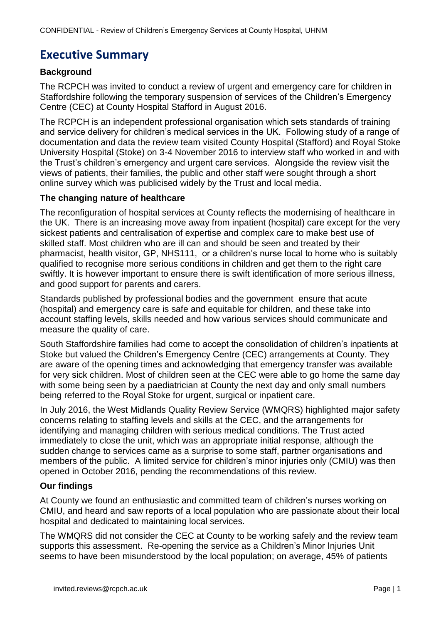# <span id="page-3-0"></span>**Executive Summary**

### **Background**

The RCPCH was invited to conduct a review of urgent and emergency care for children in Staffordshire following the temporary suspension of services of the Children's Emergency Centre (CEC) at County Hospital Stafford in August 2016.

The RCPCH is an independent professional organisation which sets standards of training and service delivery for children's medical services in the UK. Following study of a range of documentation and data the review team visited County Hospital (Stafford) and Royal Stoke University Hospital (Stoke) on 3-4 November 2016 to interview staff who worked in and with the Trust's children's emergency and urgent care services. Alongside the review visit the views of patients, their families, the public and other staff were sought through a short online survey which was publicised widely by the Trust and local media.

### **The changing nature of healthcare**

The reconfiguration of hospital services at County reflects the modernising of healthcare in the UK. There is an increasing move away from inpatient (hospital) care except for the very sickest patients and centralisation of expertise and complex care to make best use of skilled staff. Most children who are ill can and should be seen and treated by their pharmacist, health visitor, GP, NHS111, or a children's nurse local to home who is suitably qualified to recognise more serious conditions in children and get them to the right care swiftly. It is however important to ensure there is swift identification of more serious illness, and good support for parents and carers.

Standards published by professional bodies and the government ensure that acute (hospital) and emergency care is safe and equitable for children, and these take into account staffing levels, skills needed and how various services should communicate and measure the quality of care.

South Staffordshire families had come to accept the consolidation of children's inpatients at Stoke but valued the Children's Emergency Centre (CEC) arrangements at County. They are aware of the opening times and acknowledging that emergency transfer was available for very sick children. Most of children seen at the CEC were able to go home the same day with some being seen by a paediatrician at County the next day and only small numbers being referred to the Royal Stoke for urgent, surgical or inpatient care.

In July 2016, the West Midlands Quality Review Service (WMQRS) highlighted major safety concerns relating to staffing levels and skills at the CEC, and the arrangements for identifying and managing children with serious medical conditions. The Trust acted immediately to close the unit, which was an appropriate initial response, although the sudden change to services came as a surprise to some staff, partner organisations and members of the public. A limited service for children's minor injuries only (CMIU) was then opened in October 2016, pending the recommendations of this review.

# **Our findings**

At County we found an enthusiastic and committed team of children's nurses working on CMIU, and heard and saw reports of a local population who are passionate about their local hospital and dedicated to maintaining local services.

The WMQRS did not consider the CEC at County to be working safely and the review team supports this assessment. Re-opening the service as a Children's Minor Injuries Unit seems to have been misunderstood by the local population; on average, 45% of patients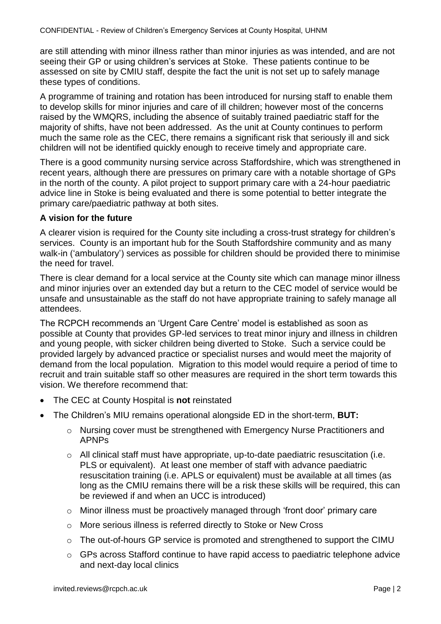are still attending with minor illness rather than minor injuries as was intended, and are not seeing their GP or using children's services at Stoke. These patients continue to be assessed on site by CMIU staff, despite the fact the unit is not set up to safely manage these types of conditions.

A programme of training and rotation has been introduced for nursing staff to enable them to develop skills for minor injuries and care of ill children; however most of the concerns raised by the WMQRS, including the absence of suitably trained paediatric staff for the majority of shifts, have not been addressed. As the unit at County continues to perform much the same role as the CEC, there remains a significant risk that seriously ill and sick children will not be identified quickly enough to receive timely and appropriate care.

There is a good community nursing service across Staffordshire, which was strengthened in recent years, although there are pressures on primary care with a notable shortage of GPs in the north of the county. A pilot project to support primary care with a 24-hour paediatric advice line in Stoke is being evaluated and there is some potential to better integrate the primary care/paediatric pathway at both sites.

#### **A vision for the future**

A clearer vision is required for the County site including a cross-trust strategy for children's services. County is an important hub for the South Staffordshire community and as many walk-in ('ambulatory') services as possible for children should be provided there to minimise the need for travel.

There is clear demand for a local service at the County site which can manage minor illness and minor injuries over an extended day but a return to the CEC model of service would be unsafe and unsustainable as the staff do not have appropriate training to safely manage all attendees.

The RCPCH recommends an 'Urgent Care Centre' model is established as soon as possible at County that provides GP-led services to treat minor injury and illness in children and young people, with sicker children being diverted to Stoke. Such a service could be provided largely by advanced practice or specialist nurses and would meet the majority of demand from the local population. Migration to this model would require a period of time to recruit and train suitable staff so other measures are required in the short term towards this vision. We therefore recommend that:

- The CEC at County Hospital is **not** reinstated
- The Children's MIU remains operational alongside ED in the short-term, **BUT:**
	- o Nursing cover must be strengthened with Emergency Nurse Practitioners and APNPs
	- $\circ$  All clinical staff must have appropriate, up-to-date paediatric resuscitation (i.e. PLS or equivalent). At least one member of staff with advance paediatric resuscitation training (i.e. APLS or equivalent) must be available at all times (as long as the CMIU remains there will be a risk these skills will be required, this can be reviewed if and when an UCC is introduced)
	- o Minor illness must be proactively managed through 'front door' primary care
	- o More serious illness is referred directly to Stoke or New Cross
	- o The out-of-hours GP service is promoted and strengthened to support the CIMU
	- o GPs across Stafford continue to have rapid access to paediatric telephone advice and next-day local clinics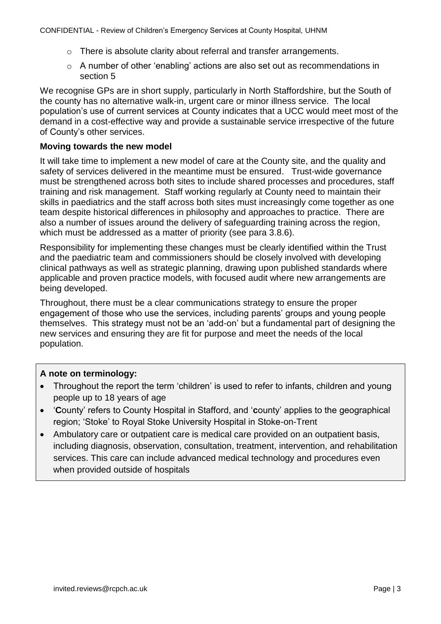- o There is absolute clarity about referral and transfer arrangements.
- $\circ$  A number of other 'enabling' actions are also set out as recommendations in section 5

We recognise GPs are in short supply, particularly in North Staffordshire, but the South of the county has no alternative walk-in, urgent care or minor illness service. The local population's use of current services at County indicates that a UCC would meet most of the demand in a cost-effective way and provide a sustainable service irrespective of the future of County's other services.

#### **Moving towards the new model**

It will take time to implement a new model of care at the County site, and the quality and safety of services delivered in the meantime must be ensured. Trust-wide governance must be strengthened across both sites to include shared processes and procedures, staff training and risk management. Staff working regularly at County need to maintain their skills in paediatrics and the staff across both sites must increasingly come together as one team despite historical differences in philosophy and approaches to practice. There are also a number of issues around the delivery of safeguarding training across the region, which must be addressed as a matter of priority (see para 3.8.6).

Responsibility for implementing these changes must be clearly identified within the Trust and the paediatric team and commissioners should be closely involved with developing clinical pathways as well as strategic planning, drawing upon published standards where applicable and proven practice models, with focused audit where new arrangements are being developed.

Throughout, there must be a clear communications strategy to ensure the proper engagement of those who use the services, including parents' groups and young people themselves. This strategy must not be an 'add-on' but a fundamental part of designing the new services and ensuring they are fit for purpose and meet the needs of the local population.

# **A note on terminology:**

- Throughout the report the term 'children' is used to refer to infants, children and young people up to 18 years of age
- '**C**ounty' refers to County Hospital in Stafford, and '**c**ounty' applies to the geographical region; 'Stoke' to Royal Stoke University Hospital in Stoke-on-Trent
- Ambulatory care or outpatient care is medical care provided on an outpatient basis, including diagnosis, observation, consultation, treatment, intervention, and rehabilitation services. This care can include advanced medical technology and procedures even when provided outside of hospitals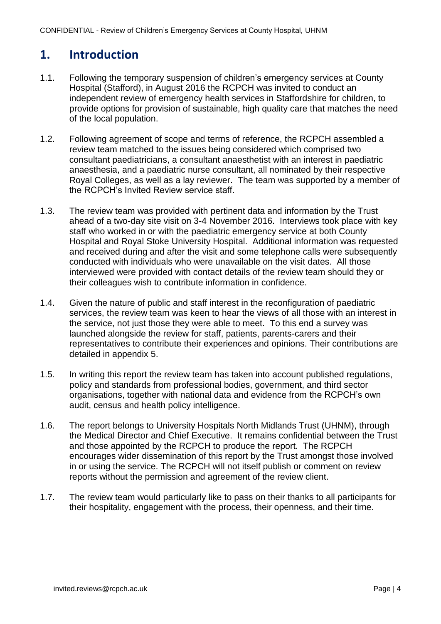# **1. Introduction**

- 1.1. Following the temporary suspension of children's emergency services at County Hospital (Stafford), in August 2016 the RCPCH was invited to conduct an independent review of emergency health services in Staffordshire for children, to provide options for provision of sustainable, high quality care that matches the need of the local population.
- 1.2. Following agreement of scope and terms of reference, the RCPCH assembled a review team matched to the issues being considered which comprised two consultant paediatricians, a consultant anaesthetist with an interest in paediatric anaesthesia, and a paediatric nurse consultant, all nominated by their respective Royal Colleges, as well as a lay reviewer. The team was supported by a member of the RCPCH's Invited Review service staff.
- 1.3. The review team was provided with pertinent data and information by the Trust ahead of a two-day site visit on 3-4 November 2016. Interviews took place with key staff who worked in or with the paediatric emergency service at both County Hospital and Royal Stoke University Hospital. Additional information was requested and received during and after the visit and some telephone calls were subsequently conducted with individuals who were unavailable on the visit dates. All those interviewed were provided with contact details of the review team should they or their colleagues wish to contribute information in confidence.
- 1.4. Given the nature of public and staff interest in the reconfiguration of paediatric services, the review team was keen to hear the views of all those with an interest in the service, not just those they were able to meet. To this end a survey was launched alongside the review for staff, patients, parents-carers and their representatives to contribute their experiences and opinions. Their contributions are detailed in appendix 5.
- 1.5. In writing this report the review team has taken into account published regulations, policy and standards from professional bodies, government, and third sector organisations, together with national data and evidence from the RCPCH's own audit, census and health policy intelligence.
- 1.6. The report belongs to University Hospitals North Midlands Trust (UHNM), through the Medical Director and Chief Executive. It remains confidential between the Trust and those appointed by the RCPCH to produce the report. The RCPCH encourages wider dissemination of this report by the Trust amongst those involved in or using the service. The RCPCH will not itself publish or comment on review reports without the permission and agreement of the review client.
- 1.7. The review team would particularly like to pass on their thanks to all participants for their hospitality, engagement with the process, their openness, and their time.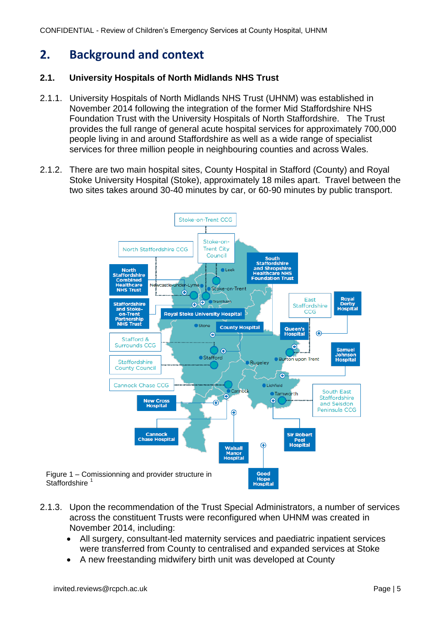CONFIDENTIAL - Review of Children's Emergency Services at County Hospital, UHNM

# **2. Background and context**

### **2.1. University Hospitals of North Midlands NHS Trust**

- 2.1.1. University Hospitals of North Midlands NHS Trust (UHNM) was established in November 2014 following the integration of the former Mid Staffordshire NHS Foundation Trust with the University Hospitals of North Staffordshire. The Trust provides the full range of general acute hospital services for approximately 700,000 people living in and around Staffordshire as well as a wide range of specialist services for three million people in neighbouring counties and across Wales.
- 2.1.2. There are two main hospital sites, County Hospital in Stafford (County) and Royal Stoke University Hospital (Stoke), approximately 18 miles apart. Travel between the two sites takes around 30-40 minutes by car, or 60-90 minutes by public transport.



- 2.1.3. Upon the recommendation of the Trust Special Administrators, a number of services across the constituent Trusts were reconfigured when UHNM was created in November 2014, including:
	- All surgery, consultant-led maternity services and paediatric inpatient services were transferred from County to centralised and expanded services at Stoke
	- A new freestanding midwifery birth unit was developed at County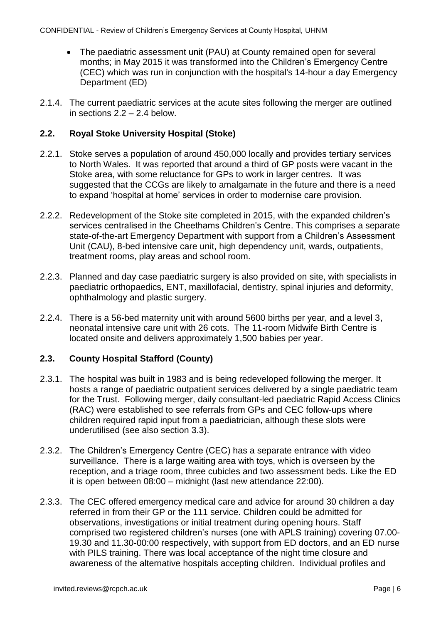- The paediatric assessment unit (PAU) at County remained open for several months; in May 2015 it was transformed into the Children's Emergency Centre (CEC) which was run in conjunction with the hospital's 14-hour a day Emergency Department (ED)
- 2.1.4. The current paediatric services at the acute sites following the merger are outlined in sections 2.2 – 2.4 below.

### **2.2. Royal Stoke University Hospital (Stoke)**

- 2.2.1. Stoke serves a population of around 450,000 locally and provides tertiary services to North Wales. It was reported that around a third of GP posts were vacant in the Stoke area, with some reluctance for GPs to work in larger centres. It was suggested that the CCGs are likely to amalgamate in the future and there is a need to expand 'hospital at home' services in order to modernise care provision.
- 2.2.2. Redevelopment of the Stoke site completed in 2015, with the expanded children's services centralised in the Cheethams Children's Centre. This comprises a separate state-of-the-art Emergency Department with support from a Children's Assessment Unit (CAU), 8-bed intensive care unit, high dependency unit, wards, outpatients, treatment rooms, play areas and school room.
- 2.2.3. Planned and day case paediatric surgery is also provided on site, with specialists in paediatric orthopaedics, ENT, maxillofacial, dentistry, spinal injuries and deformity, ophthalmology and plastic surgery.
- 2.2.4. There is a 56-bed maternity unit with around 5600 births per year, and a level 3, neonatal intensive care unit with 26 cots. The 11-room Midwife Birth Centre is located onsite and delivers approximately 1,500 babies per year.

# **2.3. County Hospital Stafford (County)**

- 2.3.1. The hospital was built in 1983 and is being redeveloped following the merger. It hosts a range of paediatric outpatient services delivered by a single paediatric team for the Trust. Following merger, daily consultant-led paediatric Rapid Access Clinics (RAC) were established to see referrals from GPs and CEC follow-ups where children required rapid input from a paediatrician, although these slots were underutilised (see also section 3.3).
- 2.3.2. The Children's Emergency Centre (CEC) has a separate entrance with video surveillance. There is a large waiting area with toys, which is overseen by the reception, and a triage room, three cubicles and two assessment beds. Like the ED it is open between 08:00 – midnight (last new attendance 22:00).
- 2.3.3. The CEC offered emergency medical care and advice for around 30 children a day referred in from their GP or the 111 service. Children could be admitted for observations, investigations or initial treatment during opening hours. Staff comprised two registered children's nurses (one with APLS training) covering 07.00- 19.30 and 11.30-00:00 respectively, with support from ED doctors, and an ED nurse with PILS training. There was local acceptance of the night time closure and awareness of the alternative hospitals accepting children. Individual profiles and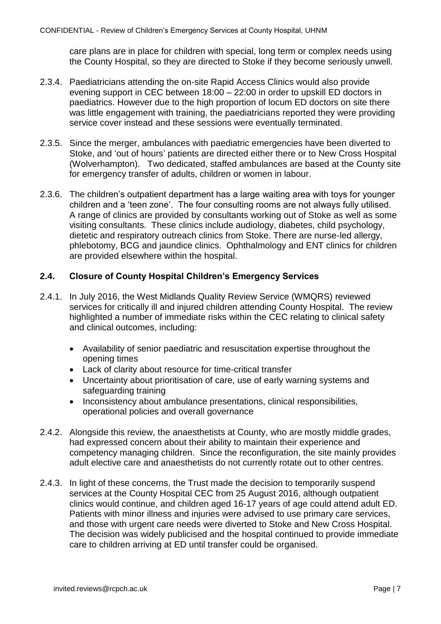care plans are in place for children with special, long term or complex needs using the County Hospital, so they are directed to Stoke if they become seriously unwell.

- 2.3.4. Paediatricians attending the on-site Rapid Access Clinics would also provide evening support in CEC between 18:00 – 22:00 in order to upskill ED doctors in paediatrics. However due to the high proportion of locum ED doctors on site there was little engagement with training, the paediatricians reported they were providing service cover instead and these sessions were eventually terminated.
- 2.3.5. Since the merger, ambulances with paediatric emergencies have been diverted to Stoke, and 'out of hours' patients are directed either there or to New Cross Hospital (Wolverhampton). Two dedicated, staffed ambulances are based at the County site for emergency transfer of adults, children or women in labour.
- 2.3.6. The children's outpatient department has a large waiting area with toys for younger children and a 'teen zone'. The four consulting rooms are not always fully utilised. A range of clinics are provided by consultants working out of Stoke as well as some visiting consultants. These clinics include audiology, diabetes, child psychology, dietetic and respiratory outreach clinics from Stoke. There are nurse-led allergy, phlebotomy, BCG and jaundice clinics. Ophthalmology and ENT clinics for children are provided elsewhere within the hospital.

#### **2.4. Closure of County Hospital Children's Emergency Services**

- 2.4.1. In July 2016, the West Midlands Quality Review Service (WMQRS) reviewed services for critically ill and injured children attending County Hospital. The review highlighted a number of immediate risks within the CEC relating to clinical safety and clinical outcomes, including:
	- Availability of senior paediatric and resuscitation expertise throughout the opening times
	- Lack of clarity about resource for time-critical transfer
	- Uncertainty about prioritisation of care, use of early warning systems and safeguarding training
	- Inconsistency about ambulance presentations, clinical responsibilities, operational policies and overall governance
- 2.4.2. Alongside this review, the anaesthetists at County, who are mostly middle grades, had expressed concern about their ability to maintain their experience and competency managing children. Since the reconfiguration, the site mainly provides adult elective care and anaesthetists do not currently rotate out to other centres.
- 2.4.3. In light of these concerns, the Trust made the decision to temporarily suspend services at the County Hospital CEC from 25 August 2016, although outpatient clinics would continue, and children aged 16-17 years of age could attend adult ED. Patients with minor illness and injuries were advised to use primary care services, and those with urgent care needs were diverted to Stoke and New Cross Hospital. The decision was widely publicised and the hospital continued to provide immediate care to children arriving at ED until transfer could be organised.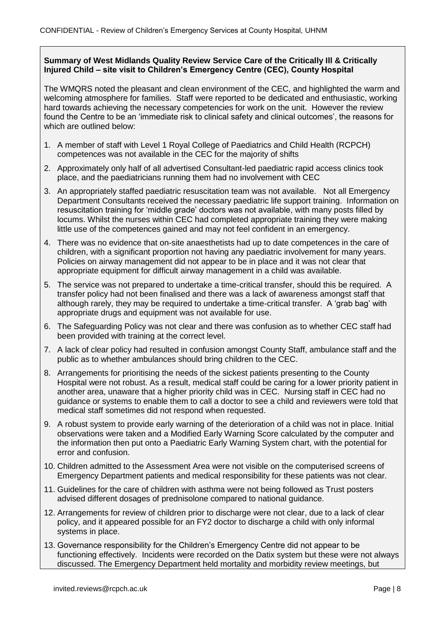#### **Summary of West Midlands Quality Review Service Care of the Critically Ill & Critically Injured Child – site visit to Children's Emergency Centre (CEC), County Hospital**

The WMQRS noted the pleasant and clean environment of the CEC, and highlighted the warm and welcoming atmosphere for families. Staff were reported to be dedicated and enthusiastic, working hard towards achieving the necessary competencies for work on the unit. However the review found the Centre to be an 'immediate risk to clinical safety and clinical outcomes', the reasons for which are outlined below:

- 1. A member of staff with Level 1 Royal College of Paediatrics and Child Health (RCPCH) competences was not available in the CEC for the majority of shifts
- 2. Approximately only half of all advertised Consultant-led paediatric rapid access clinics took place, and the paediatricians running them had no involvement with CEC
- 3. An appropriately staffed paediatric resuscitation team was not available. Not all Emergency Department Consultants received the necessary paediatric life support training. Information on resuscitation training for 'middle grade' doctors was not available, with many posts filled by locums. Whilst the nurses within CEC had completed appropriate training they were making little use of the competences gained and may not feel confident in an emergency.
- 4. There was no evidence that on-site anaesthetists had up to date competences in the care of children, with a significant proportion not having any paediatric involvement for many years. Policies on airway management did not appear to be in place and it was not clear that appropriate equipment for difficult airway management in a child was available.
- 5. The service was not prepared to undertake a time-critical transfer, should this be required. A transfer policy had not been finalised and there was a lack of awareness amongst staff that although rarely, they may be required to undertake a time-critical transfer. A 'grab bag' with appropriate drugs and equipment was not available for use.
- 6. The Safeguarding Policy was not clear and there was confusion as to whether CEC staff had been provided with training at the correct level.
- 7. A lack of clear policy had resulted in confusion amongst County Staff, ambulance staff and the public as to whether ambulances should bring children to the CEC.
- 8. Arrangements for prioritising the needs of the sickest patients presenting to the County Hospital were not robust. As a result, medical staff could be caring for a lower priority patient in another area, unaware that a higher priority child was in CEC. Nursing staff in CEC had no guidance or systems to enable them to call a doctor to see a child and reviewers were told that medical staff sometimes did not respond when requested.
- 9. A robust system to provide early warning of the deterioration of a child was not in place. Initial observations were taken and a Modified Early Warning Score calculated by the computer and the information then put onto a Paediatric Early Warning System chart, with the potential for error and confusion.
- 10. Children admitted to the Assessment Area were not visible on the computerised screens of Emergency Department patients and medical responsibility for these patients was not clear.
- 11. Guidelines for the care of children with asthma were not being followed as Trust posters advised different dosages of prednisolone compared to national guidance.
- 12. Arrangements for review of children prior to discharge were not clear, due to a lack of clear policy, and it appeared possible for an FY2 doctor to discharge a child with only informal systems in place.
- 13. Governance responsibility for the Children's Emergency Centre did not appear to be functioning effectively. Incidents were recorded on the Datix system but these were not always discussed. The Emergency Department held mortality and morbidity review meetings, but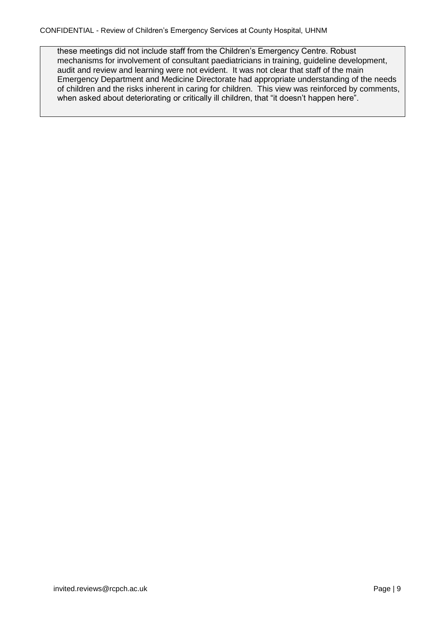these meetings did not include staff from the Children's Emergency Centre. Robust mechanisms for involvement of consultant paediatricians in training, guideline development, audit and review and learning were not evident. It was not clear that staff of the main Emergency Department and Medicine Directorate had appropriate understanding of the needs of children and the risks inherent in caring for children. This view was reinforced by comments, when asked about deteriorating or critically ill children, that "it doesn't happen here".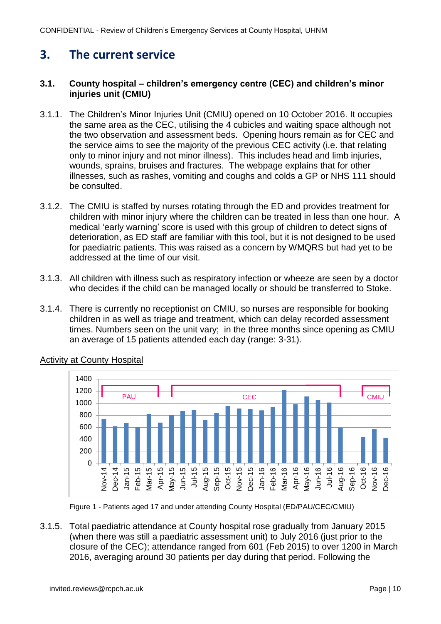# <span id="page-12-0"></span>**3. The current service**

### <span id="page-12-1"></span>**3.1. County hospital – children's emergency centre (CEC) and children's minor injuries unit (CMIU)**

- 3.1.1. The Children's Minor Injuries Unit (CMIU) opened on 10 October 2016. It occupies the same area as the CEC, utilising the 4 cubicles and waiting space although not the two observation and assessment beds. Opening hours remain as for CEC and the service aims to see the majority of the previous CEC activity (i.e. that relating only to minor injury and not minor illness). This includes head and limb injuries, wounds, sprains, bruises and fractures. The webpage explains that for other illnesses, such as rashes, vomiting and coughs and colds a GP or NHS 111 should be consulted.
- 3.1.2. The CMIU is staffed by nurses rotating through the ED and provides treatment for children with minor injury where the children can be treated in less than one hour. A medical 'early warning' score is used with this group of children to detect signs of deterioration, as ED staff are familiar with this tool, but it is not designed to be used for paediatric patients. This was raised as a concern by WMQRS but had yet to be addressed at the time of our visit.
- 3.1.3. All children with illness such as respiratory infection or wheeze are seen by a doctor who decides if the child can be managed locally or should be transferred to Stoke.
- 3.1.4. There is currently no receptionist on CMIU, so nurses are responsible for booking children in as well as triage and treatment, which can delay recorded assessment times. Numbers seen on the unit vary; in the three months since opening as CMIU an average of 15 patients attended each day (range: 3-31).



# Activity at County Hospital

Figure 1 - Patients aged 17 and under attending County Hospital (ED/PAU/CEC/CMIU)

3.1.5. Total paediatric attendance at County hospital rose gradually from January 2015 (when there was still a paediatric assessment unit) to July 2016 (just prior to the closure of the CEC); attendance ranged from 601 (Feb 2015) to over 1200 in March 2016, averaging around 30 patients per day during that period. Following the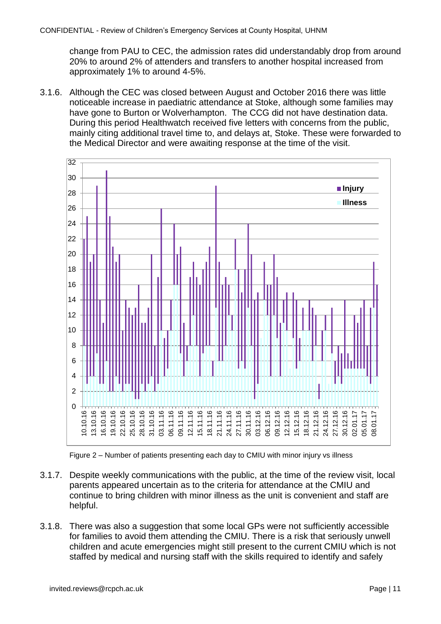change from PAU to CEC, the admission rates did understandably drop from around 20% to around 2% of attenders and transfers to another hospital increased from approximately 1% to around 4-5%.

3.1.6. Although the CEC was closed between August and October 2016 there was little noticeable increase in paediatric attendance at Stoke, although some families may have gone to Burton or Wolverhampton. The CCG did not have destination data. During this period Healthwatch received five letters with concerns from the public, mainly citing additional travel time to, and delays at, Stoke. These were forwarded to the Medical Director and were awaiting response at the time of the visit.





- 3.1.7. Despite weekly communications with the public, at the time of the review visit, local parents appeared uncertain as to the criteria for attendance at the CMIU and continue to bring children with minor illness as the unit is convenient and staff are helpful.
- 3.1.8. There was also a suggestion that some local GPs were not sufficiently accessible for families to avoid them attending the CMIU. There is a risk that seriously unwell children and acute emergencies might still present to the current CMIU which is not staffed by medical and nursing staff with the skills required to identify and safely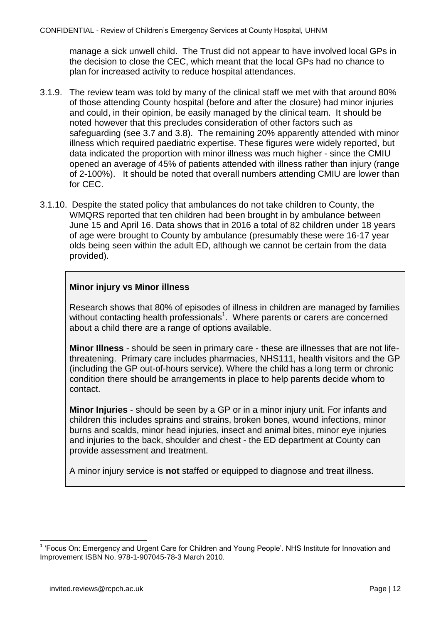manage a sick unwell child. The Trust did not appear to have involved local GPs in the decision to close the CEC, which meant that the local GPs had no chance to plan for increased activity to reduce hospital attendances.

- 3.1.9. The review team was told by many of the clinical staff we met with that around 80% of those attending County hospital (before and after the closure) had minor injuries and could, in their opinion, be easily managed by the clinical team. It should be noted however that this precludes consideration of other factors such as safeguarding (see 3.7 and 3.8). The remaining 20% apparently attended with minor illness which required paediatric expertise. These figures were widely reported, but data indicated the proportion with minor illness was much higher - since the CMIU opened an average of 45% of patients attended with illness rather than injury (range of 2-100%). It should be noted that overall numbers attending CMIU are lower than for CEC.
- 3.1.10. Despite the stated policy that ambulances do not take children to County, the WMQRS reported that ten children had been brought in by ambulance between June 15 and April 16. Data shows that in 2016 a total of 82 children under 18 years of age were brought to County by ambulance (presumably these were 16-17 year olds being seen within the adult ED, although we cannot be certain from the data provided).

### **Minor injury vs Minor illness**

Research shows that 80% of episodes of illness in children are managed by families without contacting health professionals<sup>1</sup>. Where parents or carers are concerned about a child there are a range of options available.

**Minor Illness** - should be seen in primary care - these are illnesses that are not lifethreatening. Primary care includes pharmacies, NHS111, health visitors and the GP (including the GP out-of-hours service). Where the child has a long term or chronic condition there should be arrangements in place to help parents decide whom to contact.

**Minor Injuries** - should be seen by a GP or in a minor injury unit. For infants and children this includes sprains and strains, broken bones, wound infections, minor burns and scalds, minor head injuries, insect and animal bites, minor eye injuries and injuries to the back, shoulder and chest - the ED department at County can provide assessment and treatment.

A minor injury service is **not** staffed or equipped to diagnose and treat illness.

<span id="page-14-0"></span> $\overline{a}$ 

<sup>&</sup>lt;sup>1</sup> 'Focus On: Emergency and Urgent Care for Children and Young People'. NHS Institute for Innovation and Improvement ISBN No. 978-1-907045-78-3 March 2010.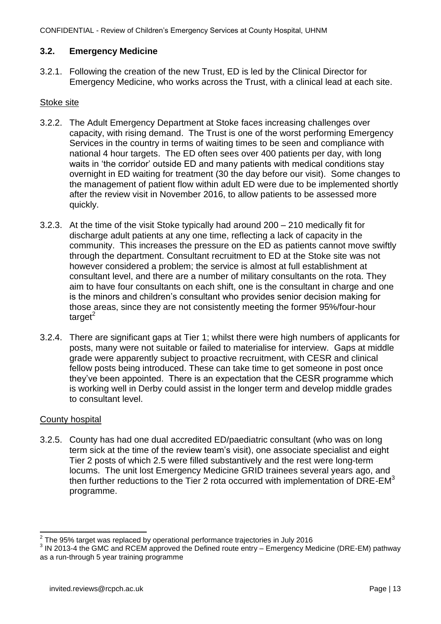### **3.2. Emergency Medicine**

3.2.1. Following the creation of the new Trust, ED is led by the Clinical Director for Emergency Medicine, who works across the Trust, with a clinical lead at each site.

#### Stoke site

- 3.2.2. The Adult Emergency Department at Stoke faces increasing challenges over capacity, with rising demand. The Trust is one of the worst performing Emergency Services in the country in terms of waiting times to be seen and compliance with national 4 hour targets. The ED often sees over 400 patients per day, with long waits in 'the corridor' outside ED and many patients with medical conditions stay overnight in ED waiting for treatment (30 the day before our visit). Some changes to the management of patient flow within adult ED were due to be implemented shortly after the review visit in November 2016, to allow patients to be assessed more quickly.
- 3.2.3. At the time of the visit Stoke typically had around 200 210 medically fit for discharge adult patients at any one time, reflecting a lack of capacity in the community. This increases the pressure on the ED as patients cannot move swiftly through the department. Consultant recruitment to ED at the Stoke site was not however considered a problem; the service is almost at full establishment at consultant level, and there are a number of military consultants on the rota. They aim to have four consultants on each shift, one is the consultant in charge and one is the minors and children's consultant who provides senior decision making for those areas, since they are not consistently meeting the former 95%/four-hour  $t$ arget<sup>2</sup>
- 3.2.4. There are significant gaps at Tier 1; whilst there were high numbers of applicants for posts, many were not suitable or failed to materialise for interview. Gaps at middle grade were apparently subject to proactive recruitment, with CESR and clinical fellow posts being introduced. These can take time to get someone in post once they've been appointed. There is an expectation that the CESR programme which is working well in Derby could assist in the longer term and develop middle grades to consultant level.

#### County hospital

3.2.5. County has had one dual accredited ED/paediatric consultant (who was on long term sick at the time of the review team's visit), one associate specialist and eight Tier 2 posts of which 2.5 were filled substantively and the rest were long-term locums. The unit lost Emergency Medicine GRID trainees several years ago, and then further reductions to the Tier 2 rota occurred with implementation of  $DRE-EM<sup>3</sup>$ programme.

 2 The 95% target was replaced by operational performance trajectories in July 2016

 $3$  IN 2013-4 the GMC and RCEM approved the Defined route entry – Emergency Medicine (DRE-EM) pathway as a run-through 5 year training programme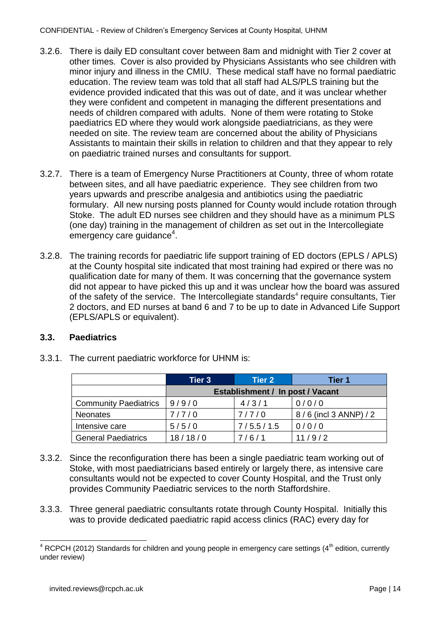- 3.2.6. There is daily ED consultant cover between 8am and midnight with Tier 2 cover at other times. Cover is also provided by Physicians Assistants who see children with minor injury and illness in the CMIU. These medical staff have no formal paediatric education. The review team was told that all staff had ALS/PLS training but the evidence provided indicated that this was out of date, and it was unclear whether they were confident and competent in managing the different presentations and needs of children compared with adults. None of them were rotating to Stoke paediatrics ED where they would work alongside paediatricians, as they were needed on site. The review team are concerned about the ability of Physicians Assistants to maintain their skills in relation to children and that they appear to rely on paediatric trained nurses and consultants for support.
- 3.2.7. There is a team of Emergency Nurse Practitioners at County, three of whom rotate between sites, and all have paediatric experience. They see children from two years upwards and prescribe analgesia and antibiotics using the paediatric formulary. All new nursing posts planned for County would include rotation through Stoke. The adult ED nurses see children and they should have as a minimum PLS (one day) training in the management of children as set out in the Intercollegiate emergency care guidance<sup>4</sup>.
- 3.2.8. The training records for paediatric life support training of ED doctors (EPLS / APLS) at the County hospital site indicated that most training had expired or there was no qualification date for many of them. It was concerning that the governance system did not appear to have picked this up and it was unclear how the board was assured of the safety of the service. The Intercollegiate standards<sup>4</sup> require consultants, Tier 2 doctors, and ED nurses at band 6 and 7 to be up to date in Advanced Life Support (EPLS/APLS or equivalent).

#### <span id="page-16-0"></span>**3.3. Paediatrics**

|                              | <b>Tier 3</b>                    | Tier 2    | Tier 1                   |
|------------------------------|----------------------------------|-----------|--------------------------|
|                              | Establishment / In post / Vacant |           |                          |
| <b>Community Paediatrics</b> | 9/9/0                            | 4/3/1     | 0/0/0                    |
| <b>Neonates</b>              | 7/7/0                            | 7/7/0     | $8/6$ (incl 3 ANNP) $/2$ |
| Intensive care               | 5/5/0                            | 7/5.5/1.5 | 0/0/0                    |
| <b>General Paediatrics</b>   | 18/18/0                          | 7/6/1     | 11/9/2                   |

3.3.1. The current paediatric workforce for UHNM is:

- 3.3.2. Since the reconfiguration there has been a single paediatric team working out of Stoke, with most paediatricians based entirely or largely there, as intensive care consultants would not be expected to cover County Hospital, and the Trust only provides Community Paediatric services to the north Staffordshire.
- 3.3.3. Three general paediatric consultants rotate through County Hospital. Initially this was to provide dedicated paediatric rapid access clinics (RAC) every day for

 $\overline{a}$  $4$  RCPCH (2012) Standards for children and young people in emergency care settings (4<sup>th</sup> edition, currently under review)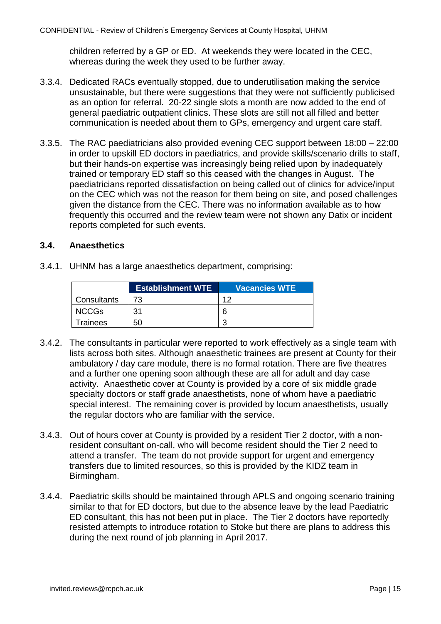children referred by a GP or ED. At weekends they were located in the CEC, whereas during the week they used to be further away.

- 3.3.4. Dedicated RACs eventually stopped, due to underutilisation making the service unsustainable, but there were suggestions that they were not sufficiently publicised as an option for referral. 20-22 single slots a month are now added to the end of general paediatric outpatient clinics. These slots are still not all filled and better communication is needed about them to GPs, emergency and urgent care staff.
- 3.3.5. The RAC paediatricians also provided evening CEC support between 18:00 22:00 in order to upskill ED doctors in paediatrics, and provide skills/scenario drills to staff, but their hands-on expertise was increasingly being relied upon by inadequately trained or temporary ED staff so this ceased with the changes in August. The paediatricians reported dissatisfaction on being called out of clinics for advice/input on the CEC which was not the reason for them being on site, and posed challenges given the distance from the CEC. There was no information available as to how frequently this occurred and the review team were not shown any Datix or incident reports completed for such events.

#### <span id="page-17-0"></span>**3.4. Anaesthetics**

3.4.1. UHNM has a large anaesthetics department, comprising:

|              | <b>Establishment WTE</b> | <b>Vacancies WTE</b> |
|--------------|--------------------------|----------------------|
| Consultants  |                          | ィク                   |
| <b>NCCGs</b> | 31                       | h                    |
| Trainees     | 50                       |                      |

- 3.4.2. The consultants in particular were reported to work effectively as a single team with lists across both sites. Although anaesthetic trainees are present at County for their ambulatory / day care module, there is no formal rotation. There are five theatres and a further one opening soon although these are all for adult and day case activity. Anaesthetic cover at County is provided by a core of six middle grade specialty doctors or staff grade anaesthetists, none of whom have a paediatric special interest. The remaining cover is provided by locum anaesthetists, usually the regular doctors who are familiar with the service.
- 3.4.3. Out of hours cover at County is provided by a resident Tier 2 doctor, with a nonresident consultant on-call, who will become resident should the Tier 2 need to attend a transfer. The team do not provide support for urgent and emergency transfers due to limited resources, so this is provided by the KIDZ team in Birmingham.
- 3.4.4. Paediatric skills should be maintained through APLS and ongoing scenario training similar to that for ED doctors, but due to the absence leave by the lead Paediatric ED consultant, this has not been put in place. The Tier 2 doctors have reportedly resisted attempts to introduce rotation to Stoke but there are plans to address this during the next round of job planning in April 2017.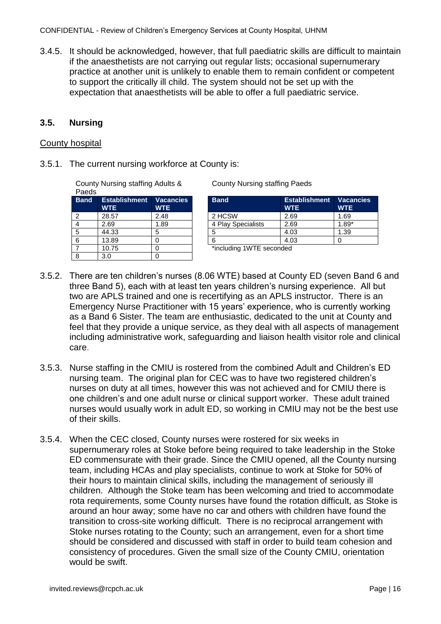CONFIDENTIAL - Review of Children's Emergency Services at County Hospital, UHNM

3.4.5. It should be acknowledged, however, that full paediatric skills are difficult to maintain if the anaesthetists are not carrying out regular lists; occasional supernumerary practice at another unit is unlikely to enable them to remain confident or competent to support the critically ill child. The system should not be set up with the expectation that anaesthetists will be able to offer a full paediatric service.

#### <span id="page-18-0"></span>**3.5. Nursing**

#### County hospital

3.5.1. The current nursing workforce at County is:

County Nursing staffing Adults &

Paeds<br>Band **Establishment WTE Vacancies WTE** 7 10.75 0 \*including 1WTE seconded 8 3.0 0

County Nursing staffing Paeds

| <b>Band</b> | <b>Establishment Vacancies</b><br><b>WTE</b> | <b>WTE</b> | <b>Band</b>        | <b>Establishment</b><br><b>WTE</b> | <b>Vacancies</b><br><b>WTE</b> |
|-------------|----------------------------------------------|------------|--------------------|------------------------------------|--------------------------------|
| 2           | 28.57                                        | 2.48       | 2 HCSW             | 2.69                               | 1.69                           |
| 4           | 2.69                                         | .89        | 4 Play Specialists | 2.69                               | $1.89*$                        |
| 5           | 44.33                                        |            |                    | 4.03                               | 1.39                           |
| 6           | 13.89                                        |            |                    | 4.03                               |                                |
|             |                                              |            |                    |                                    |                                |

- 3.5.2. There are ten children's nurses (8.06 WTE) based at County ED (seven Band 6 and three Band 5), each with at least ten years children's nursing experience. All but two are APLS trained and one is recertifying as an APLS instructor. There is an Emergency Nurse Practitioner with 15 years' experience, who is currently working as a Band 6 Sister. The team are enthusiastic, dedicated to the unit at County and feel that they provide a unique service, as they deal with all aspects of management including administrative work, safeguarding and liaison health visitor role and clinical care.
- 3.5.3. Nurse staffing in the CMIU is rostered from the combined Adult and Children's ED nursing team. The original plan for CEC was to have two registered children's nurses on duty at all times, however this was not achieved and for CMIU there is one children's and one adult nurse or clinical support worker. These adult trained nurses would usually work in adult ED, so working in CMIU may not be the best use of their skills.
- 3.5.4. When the CEC closed, County nurses were rostered for six weeks in supernumerary roles at Stoke before being required to take leadership in the Stoke ED commensurate with their grade. Since the CMIU opened, all the County nursing team, including HCAs and play specialists, continue to work at Stoke for 50% of their hours to maintain clinical skills, including the management of seriously ill children. Although the Stoke team has been welcoming and tried to accommodate rota requirements, some County nurses have found the rotation difficult, as Stoke is around an hour away; some have no car and others with children have found the transition to cross-site working difficult. There is no reciprocal arrangement with Stoke nurses rotating to the County; such an arrangement, even for a short time should be considered and discussed with staff in order to build team cohesion and consistency of procedures. Given the small size of the County CMIU, orientation would be swift.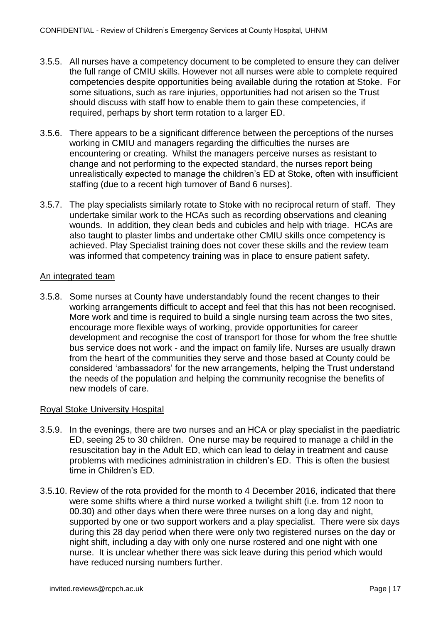- 3.5.5. All nurses have a competency document to be completed to ensure they can deliver the full range of CMIU skills. However not all nurses were able to complete required competencies despite opportunities being available during the rotation at Stoke. For some situations, such as rare injuries, opportunities had not arisen so the Trust should discuss with staff how to enable them to gain these competencies, if required, perhaps by short term rotation to a larger ED.
- 3.5.6. There appears to be a significant difference between the perceptions of the nurses working in CMIU and managers regarding the difficulties the nurses are encountering or creating. Whilst the managers perceive nurses as resistant to change and not performing to the expected standard, the nurses report being unrealistically expected to manage the children's ED at Stoke, often with insufficient staffing (due to a recent high turnover of Band 6 nurses).
- 3.5.7. The play specialists similarly rotate to Stoke with no reciprocal return of staff. They undertake similar work to the HCAs such as recording observations and cleaning wounds. In addition, they clean beds and cubicles and help with triage. HCAs are also taught to plaster limbs and undertake other CMIU skills once competency is achieved. Play Specialist training does not cover these skills and the review team was informed that competency training was in place to ensure patient safety.

### An integrated team

3.5.8. Some nurses at County have understandably found the recent changes to their working arrangements difficult to accept and feel that this has not been recognised. More work and time is required to build a single nursing team across the two sites, encourage more flexible ways of working, provide opportunities for career development and recognise the cost of transport for those for whom the free shuttle bus service does not work - and the impact on family life. Nurses are usually drawn from the heart of the communities they serve and those based at County could be considered 'ambassadors' for the new arrangements, helping the Trust understand the needs of the population and helping the community recognise the benefits of new models of care.

#### Royal Stoke University Hospital

- 3.5.9. In the evenings, there are two nurses and an HCA or play specialist in the paediatric ED, seeing 25 to 30 children. One nurse may be required to manage a child in the resuscitation bay in the Adult ED, which can lead to delay in treatment and cause problems with medicines administration in children's ED. This is often the busiest time in Children's ED.
- 3.5.10. Review of the rota provided for the month to 4 December 2016, indicated that there were some shifts where a third nurse worked a twilight shift (i.e. from 12 noon to 00.30) and other days when there were three nurses on a long day and night, supported by one or two support workers and a play specialist. There were six days during this 28 day period when there were only two registered nurses on the day or night shift, including a day with only one nurse rostered and one night with one nurse. It is unclear whether there was sick leave during this period which would have reduced nursing numbers further.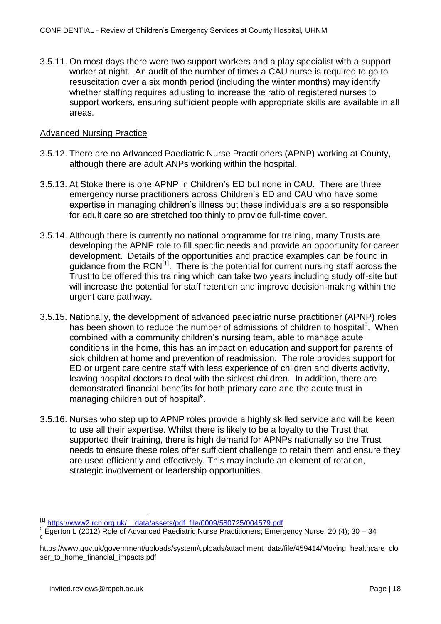3.5.11. On most days there were two support workers and a play specialist with a support worker at night. An audit of the number of times a CAU nurse is required to go to resuscitation over a six month period (including the winter months) may identify whether staffing requires adjusting to increase the ratio of registered nurses to support workers, ensuring sufficient people with appropriate skills are available in all areas.

### Advanced Nursing Practice

- 3.5.12. There are no Advanced Paediatric Nurse Practitioners (APNP) working at County, although there are adult ANPs working within the hospital.
- 3.5.13. At Stoke there is one APNP in Children's ED but none in CAU. There are three emergency nurse practitioners across Children's ED and CAU who have some expertise in managing children's illness but these individuals are also responsible for adult care so are stretched too thinly to provide full-time cover.
- 3.5.14. Although there is currently no national programme for training, many Trusts are developing the APNP role to fill specific needs and provide an opportunity for career development. Details of the opportunities and practice examples can be found in guidance from the  $RCN^{[1]}$ . There is the potential for current nursing staff across the Trust to be offered this training which can take two years including study off-site but will increase the potential for staff retention and improve decision-making within the urgent care pathway.
- 3.5.15. Nationally, the development of advanced paediatric nurse practitioner (APNP) roles has been shown to reduce the number of admissions of children to hospital<sup>5</sup>. When combined with a community children's nursing team, able to manage acute conditions in the home, this has an impact on education and support for parents of sick children at home and prevention of readmission. The role provides support for ED or urgent care centre staff with less experience of children and diverts activity, leaving hospital doctors to deal with the sickest children. In addition, there are demonstrated financial benefits for both primary care and the acute trust in managing children out of hospital<sup>6</sup>.
- 3.5.16. Nurses who step up to APNP roles provide a highly skilled service and will be keen to use all their expertise. Whilst there is likely to be a loyalty to the Trust that supported their training, there is high demand for APNPs nationally so the Trust needs to ensure these roles offer sufficient challenge to retain them and ensure they are used efficiently and effectively. This may include an element of rotation, strategic involvement or leadership opportunities.

 $\overline{a}$ 

<sup>[1]</sup> https://www2.rcn.org.uk/ data/assets/pdf\_file/0009/580725/004579.pdf

 $^5$  Egerton L (2012) Role of Advanced Paediatric Nurse Practitioners; Emergency Nurse, 20 (4); 30 – 34

https://www.gov.uk/government/uploads/system/uploads/attachment\_data/file/459414/Moving\_healthcare\_clo ser\_to\_home\_financial\_impacts.pdf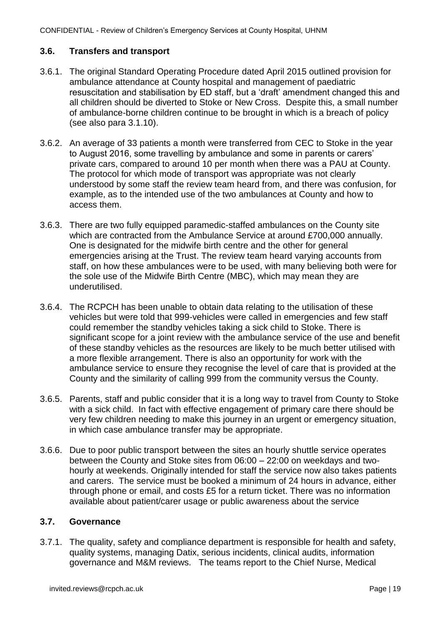#### **3.6. Transfers and transport**

- 3.6.1. The original Standard Operating Procedure dated April 2015 outlined provision for ambulance attendance at County hospital and management of paediatric resuscitation and stabilisation by ED staff, but a 'draft' amendment changed this and all children should be diverted to Stoke or New Cross. Despite this, a small number of ambulance-borne children continue to be brought in which is a breach of policy (see also para 3.1.10).
- 3.6.2. An average of 33 patients a month were transferred from CEC to Stoke in the year to August 2016, some travelling by ambulance and some in parents or carers' private cars, compared to around 10 per month when there was a PAU at County. The protocol for which mode of transport was appropriate was not clearly understood by some staff the review team heard from, and there was confusion, for example, as to the intended use of the two ambulances at County and how to access them.
- 3.6.3. There are two fully equipped paramedic-staffed ambulances on the County site which are contracted from the Ambulance Service at around £700,000 annually. One is designated for the midwife birth centre and the other for general emergencies arising at the Trust. The review team heard varying accounts from staff, on how these ambulances were to be used, with many believing both were for the sole use of the Midwife Birth Centre (MBC), which may mean they are underutilised.
- 3.6.4. The RCPCH has been unable to obtain data relating to the utilisation of these vehicles but were told that 999-vehicles were called in emergencies and few staff could remember the standby vehicles taking a sick child to Stoke. There is significant scope for a joint review with the ambulance service of the use and benefit of these standby vehicles as the resources are likely to be much better utilised with a more flexible arrangement. There is also an opportunity for work with the ambulance service to ensure they recognise the level of care that is provided at the County and the similarity of calling 999 from the community versus the County.
- 3.6.5. Parents, staff and public consider that it is a long way to travel from County to Stoke with a sick child. In fact with effective engagement of primary care there should be very few children needing to make this journey in an urgent or emergency situation, in which case ambulance transfer may be appropriate.
- 3.6.6. Due to poor public transport between the sites an hourly shuttle service operates between the County and Stoke sites from 06:00 – 22:00 on weekdays and twohourly at weekends. Originally intended for staff the service now also takes patients and carers. The service must be booked a minimum of 24 hours in advance, either through phone or email, and costs £5 for a return ticket. There was no information available about patient/carer usage or public awareness about the service

#### <span id="page-21-0"></span>**3.7. Governance**

3.7.1. The quality, safety and compliance department is responsible for health and safety, quality systems, managing Datix, serious incidents, clinical audits, information governance and M&M reviews. The teams report to the Chief Nurse, Medical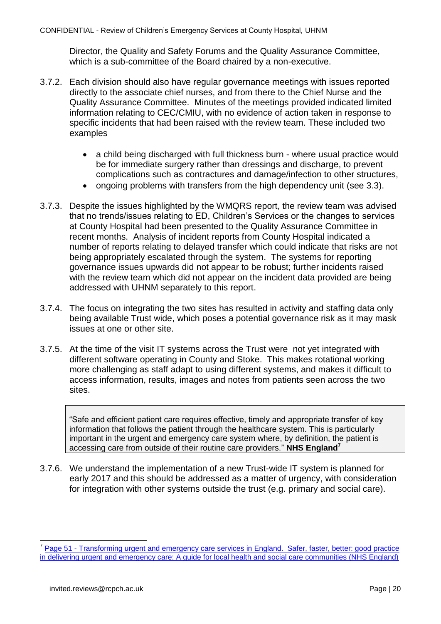Director, the Quality and Safety Forums and the Quality Assurance Committee, which is a sub-committee of the Board chaired by a non-executive.

- 3.7.2. Each division should also have regular governance meetings with issues reported directly to the associate chief nurses, and from there to the Chief Nurse and the Quality Assurance Committee. Minutes of the meetings provided indicated limited information relating to CEC/CMIU, with no evidence of action taken in response to specific incidents that had been raised with the review team. These included two examples
	- a child being discharged with full thickness burn where usual practice would be for immediate surgery rather than dressings and discharge, to prevent complications such as contractures and damage/infection to other structures,
	- ongoing problems with transfers from the high dependency unit (see 3.3).
- 3.7.3. Despite the issues highlighted by the WMQRS report, the review team was advised that no trends/issues relating to ED, Children's Services or the changes to services at County Hospital had been presented to the Quality Assurance Committee in recent months. Analysis of incident reports from County Hospital indicated a number of reports relating to delayed transfer which could indicate that risks are not being appropriately escalated through the system. The systems for reporting governance issues upwards did not appear to be robust; further incidents raised with the review team which did not appear on the incident data provided are being addressed with UHNM separately to this report.
- 3.7.4. The focus on integrating the two sites has resulted in activity and staffing data only being available Trust wide, which poses a potential governance risk as it may mask issues at one or other site.
- 3.7.5. At the time of the visit IT systems across the Trust were not yet integrated with different software operating in County and Stoke. This makes rotational working more challenging as staff adapt to using different systems, and makes it difficult to access information, results, images and notes from patients seen across the two sites.

"Safe and efficient patient care requires effective, timely and appropriate transfer of key information that follows the patient through the healthcare system. This is particularly important in the urgent and emergency care system where, by definition, the patient is accessing care from outside of their routine care providers." **NHS England<sup>7</sup>**

3.7.6. We understand the implementation of a new Trust-wide IT system is planned for early 2017 and this should be addressed as a matter of urgency, with consideration for integration with other systems outside the trust (e.g. primary and social care).

<span id="page-22-0"></span> $\overline{a}$ 

<sup>7</sup> Page 51 - [Transforming urgent and emergency care services in England. Safer, faster, better: good practice](https://www.england.nhs.uk/wp-content/uploads/2015/06/trans-uec.pdf)  [in delivering urgent and emergency care: A guide for local health and social care communities \(NHS England\)](https://www.england.nhs.uk/wp-content/uploads/2015/06/trans-uec.pdf)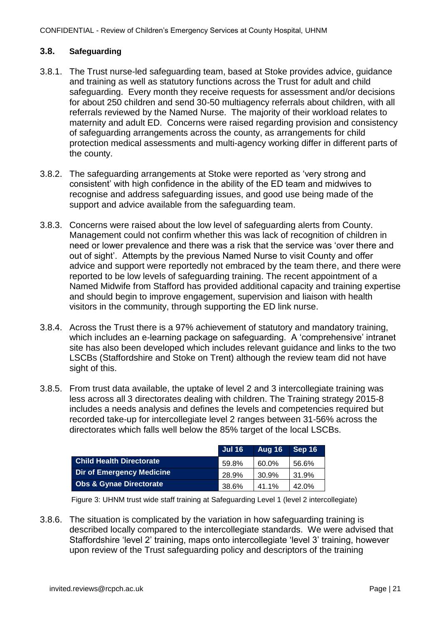#### **3.8. Safeguarding**

- 3.8.1. The Trust nurse-led safeguarding team, based at Stoke provides advice, guidance and training as well as statutory functions across the Trust for adult and child safeguarding. Every month they receive requests for assessment and/or decisions for about 250 children and send 30-50 multiagency referrals about children, with all referrals reviewed by the Named Nurse. The majority of their workload relates to maternity and adult ED. Concerns were raised regarding provision and consistency of safeguarding arrangements across the county, as arrangements for child protection medical assessments and multi-agency working differ in different parts of the county.
- 3.8.2. The safeguarding arrangements at Stoke were reported as 'very strong and consistent' with high confidence in the ability of the ED team and midwives to recognise and address safeguarding issues, and good use being made of the support and advice available from the safeguarding team.
- 3.8.3. Concerns were raised about the low level of safeguarding alerts from County. Management could not confirm whether this was lack of recognition of children in need or lower prevalence and there was a risk that the service was 'over there and out of sight'. Attempts by the previous Named Nurse to visit County and offer advice and support were reportedly not embraced by the team there, and there were reported to be low levels of safeguarding training. The recent appointment of a Named Midwife from Stafford has provided additional capacity and training expertise and should begin to improve engagement, supervision and liaison with health visitors in the community, through supporting the ED link nurse.
- 3.8.4. Across the Trust there is a 97% achievement of statutory and mandatory training, which includes an e-learning package on safeguarding. A 'comprehensive' intranet site has also been developed which includes relevant guidance and links to the two LSCBs (Staffordshire and Stoke on Trent) although the review team did not have sight of this.
- 3.8.5. From trust data available, the uptake of level 2 and 3 intercollegiate training was less across all 3 directorates dealing with children. The Training strategy 2015-8 includes a needs analysis and defines the levels and competencies required but recorded take-up for intercollegiate level 2 ranges between 31-56% across the directorates which falls well below the 85% target of the local LSCBs.

|                                    | <b>Jul 16</b> | Aug 16 | Sep 16 |
|------------------------------------|---------------|--------|--------|
| <b>Child Health Directorate</b>    | 59.8%         | 60.0%  | 56.6%  |
| <b>Dir of Emergency Medicine</b>   | 28.9%         | 30.9%  | 31.9%  |
| <b>Obs &amp; Gynae Directorate</b> | 38.6%         | 41.1%  | 42.0%  |

Figure 3: UHNM trust wide staff training at Safeguarding Level 1 (level 2 intercollegiate)

3.8.6. The situation is complicated by the variation in how safeguarding training is described locally compared to the intercollegiate standards. We were advised that Staffordshire 'level 2' training, maps onto intercollegiate 'level 3' training, however upon review of the Trust safeguarding policy and descriptors of the training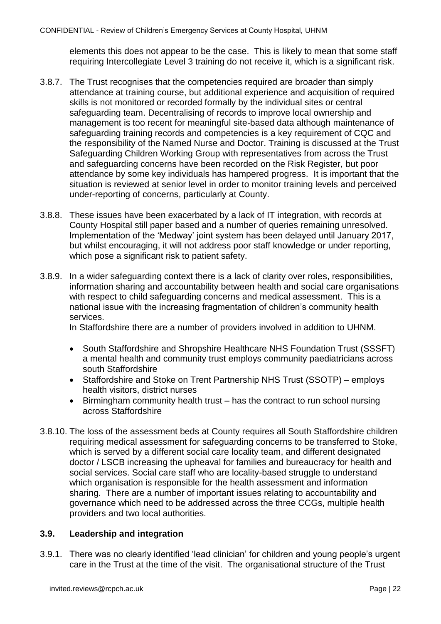elements this does not appear to be the case. This is likely to mean that some staff requiring Intercollegiate Level 3 training do not receive it, which is a significant risk.

- 3.8.7. The Trust recognises that the competencies required are broader than simply attendance at training course, but additional experience and acquisition of required skills is not monitored or recorded formally by the individual sites or central safeguarding team. Decentralising of records to improve local ownership and management is too recent for meaningful site-based data although maintenance of safeguarding training records and competencies is a key requirement of CQC and the responsibility of the Named Nurse and Doctor. Training is discussed at the Trust Safeguarding Children Working Group with representatives from across the Trust and safeguarding concerns have been recorded on the Risk Register, but poor attendance by some key individuals has hampered progress. It is important that the situation is reviewed at senior level in order to monitor training levels and perceived under-reporting of concerns, particularly at County.
- 3.8.8. These issues have been exacerbated by a lack of IT integration, with records at County Hospital still paper based and a number of queries remaining unresolved. Implementation of the 'Medway' joint system has been delayed until January 2017, but whilst encouraging, it will not address poor staff knowledge or under reporting, which pose a significant risk to patient safety.
- 3.8.9. In a wider safeguarding context there is a lack of clarity over roles, responsibilities, information sharing and accountability between health and social care organisations with respect to child safeguarding concerns and medical assessment. This is a national issue with the increasing fragmentation of children's community health services.

In Staffordshire there are a number of providers involved in addition to UHNM.

- South Staffordshire and Shropshire Healthcare NHS Foundation Trust (SSSFT) a mental health and community trust employs community paediatricians across south Staffordshire
- Staffordshire and Stoke on Trent Partnership NHS Trust (SSOTP) employs health visitors, district nurses
- Birmingham community health trust has the contract to run school nursing across Staffordshire
- 3.8.10. The loss of the assessment beds at County requires all South Staffordshire children requiring medical assessment for safeguarding concerns to be transferred to Stoke, which is served by a different social care locality team, and different designated doctor / LSCB increasing the upheaval for families and bureaucracy for health and social services. Social care staff who are locality-based struggle to understand which organisation is responsible for the health assessment and information sharing. There are a number of important issues relating to accountability and governance which need to be addressed across the three CCGs, multiple health providers and two local authorities.

#### <span id="page-24-0"></span>**3.9. Leadership and integration**

3.9.1. There was no clearly identified 'lead clinician' for children and young people's urgent care in the Trust at the time of the visit. The organisational structure of the Trust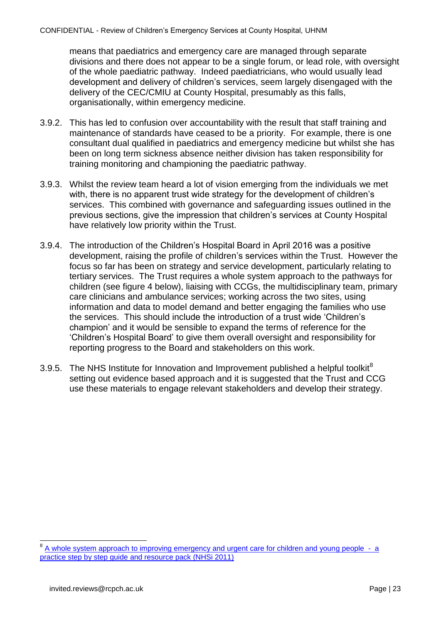means that paediatrics and emergency care are managed through separate divisions and there does not appear to be a single forum, or lead role, with oversight of the whole paediatric pathway. Indeed paediatricians, who would usually lead development and delivery of children's services, seem largely disengaged with the delivery of the CEC/CMIU at County Hospital, presumably as this falls, organisationally, within emergency medicine.

- 3.9.2. This has led to confusion over accountability with the result that staff training and maintenance of standards have ceased to be a priority. For example, there is one consultant dual qualified in paediatrics and emergency medicine but whilst she has been on long term sickness absence neither division has taken responsibility for training monitoring and championing the paediatric pathway.
- 3.9.3. Whilst the review team heard a lot of vision emerging from the individuals we met with, there is no apparent trust wide strategy for the development of children's services. This combined with governance and safeguarding issues outlined in the previous sections, give the impression that children's services at County Hospital have relatively low priority within the Trust.
- 3.9.4. The introduction of the Children's Hospital Board in April 2016 was a positive development, raising the profile of children's services within the Trust. However the focus so far has been on strategy and service development, particularly relating to tertiary services. The Trust requires a whole system approach to the pathways for children (see figure 4 below), liaising with CCGs, the multidisciplinary team, primary care clinicians and ambulance services; working across the two sites, using information and data to model demand and better engaging the families who use the services. This should include the introduction of a trust wide 'Children's champion' and it would be sensible to expand the terms of reference for the 'Children's Hospital Board' to give them overall oversight and responsibility for reporting progress to the Board and stakeholders on this work.
- 3.9.5. The NHS Institute for Innovation and Improvement published a helpful toolkit $8$ setting out evidence based approach and it is suggested that the Trust and CCG use these materials to engage relevant stakeholders and develop their strategy.

 $\overline{a}$ 

<sup>8</sup> [A whole system approach to improving emergency and urgent care for children and young people - a](https://www.rcem.ac.uk/docs/Paediatric%20EM%20Guidance/11.%20A%20Whole%20System%20Approach%20to%20Improving%20Emergency%20and%20Urgent%20Care%20for%20CYP.pdf)  [practice step by step guide and resource pack \(NHSi 2011\)](https://www.rcem.ac.uk/docs/Paediatric%20EM%20Guidance/11.%20A%20Whole%20System%20Approach%20to%20Improving%20Emergency%20and%20Urgent%20Care%20for%20CYP.pdf)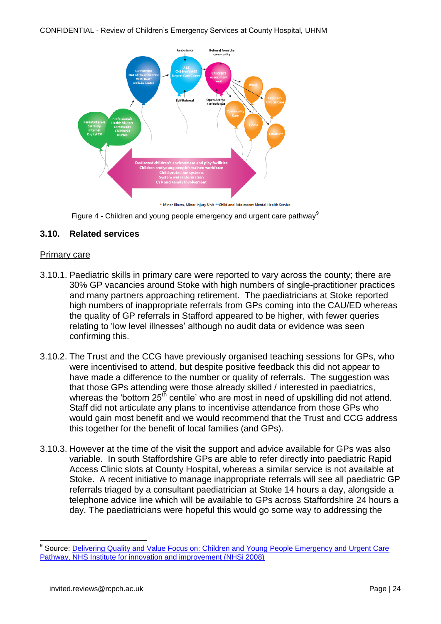

Figure 4 - Children and young people emergency and urgent care pathway<sup>9</sup>

#### <span id="page-26-0"></span>**3.10. Related services**

#### Primary care

- 3.10.1. Paediatric skills in primary care were reported to vary across the county; there are 30% GP vacancies around Stoke with high numbers of single-practitioner practices and many partners approaching retirement. The paediatricians at Stoke reported high numbers of inappropriate referrals from GPs coming into the CAU/ED whereas the quality of GP referrals in Stafford appeared to be higher, with fewer queries relating to 'low level illnesses' although no audit data or evidence was seen confirming this.
- 3.10.2. The Trust and the CCG have previously organised teaching sessions for GPs, who were incentivised to attend, but despite positive feedback this did not appear to have made a difference to the number or quality of referrals. The suggestion was that those GPs attending were those already skilled / interested in paediatrics, whereas the 'bottom  $25<sup>th</sup>$  centile' who are most in need of upskilling did not attend. Staff did not articulate any plans to incentivise attendance from those GPs who would gain most benefit and we would recommend that the Trust and CCG address this together for the benefit of local families (and GPs).
- 3.10.3. However at the time of the visit the support and advice available for GPs was also variable. In south Staffordshire GPs are able to refer directly into paediatric Rapid Access Clinic slots at County Hospital, whereas a similar service is not available at Stoke. A recent initiative to manage inappropriate referrals will see all paediatric GP referrals triaged by a consultant paediatrician at Stoke 14 hours a day, alongside a telephone advice line which will be available to GPs across Staffordshire 24 hours a day. The paediatricians were hopeful this would go some way to addressing the

 $\overline{a}$ 

<sup>9</sup> Source: [Delivering Quality and Value Focus on: Children and Young](http://www.rcpch.ac.uk/sites/default/files/asset_library/Health%20Services/DVQ_S2_Children_opt2.pdf) People Emergency and Urgent Care [Pathway, NHS Institute for innovation and improvement \(NHSi 2008\)](http://www.rcpch.ac.uk/sites/default/files/asset_library/Health%20Services/DVQ_S2_Children_opt2.pdf)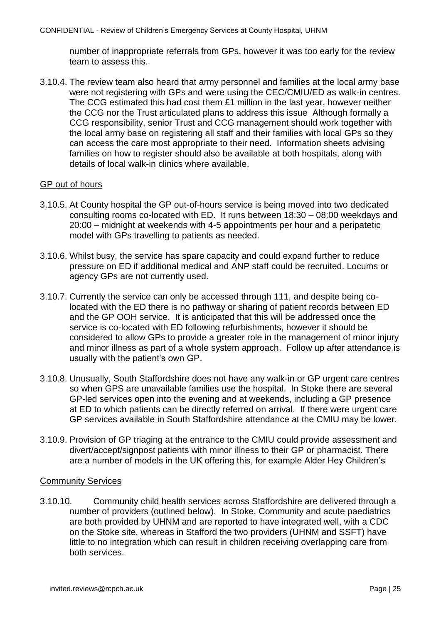number of inappropriate referrals from GPs, however it was too early for the review team to assess this.

3.10.4. The review team also heard that army personnel and families at the local army base were not registering with GPs and were using the CEC/CMIU/ED as walk-in centres. The CCG estimated this had cost them £1 million in the last year, however neither the CCG nor the Trust articulated plans to address this issue Although formally a CCG responsibility, senior Trust and CCG management should work together with the local army base on registering all staff and their families with local GPs so they can access the care most appropriate to their need. Information sheets advising families on how to register should also be available at both hospitals, along with details of local walk-in clinics where available.

#### GP out of hours

- 3.10.5. At County hospital the GP out-of-hours service is being moved into two dedicated consulting rooms co-located with ED. It runs between 18:30 – 08:00 weekdays and 20:00 – midnight at weekends with 4-5 appointments per hour and a peripatetic model with GPs travelling to patients as needed.
- 3.10.6. Whilst busy, the service has spare capacity and could expand further to reduce pressure on ED if additional medical and ANP staff could be recruited. Locums or agency GPs are not currently used.
- 3.10.7. Currently the service can only be accessed through 111, and despite being colocated with the ED there is no pathway or sharing of patient records between ED and the GP OOH service. It is anticipated that this will be addressed once the service is co-located with ED following refurbishments, however it should be considered to allow GPs to provide a greater role in the management of minor injury and minor illness as part of a whole system approach. Follow up after attendance is usually with the patient's own GP.
- 3.10.8. Unusually, South Staffordshire does not have any walk-in or GP urgent care centres so when GPS are unavailable families use the hospital. In Stoke there are several GP-led services open into the evening and at weekends, including a GP presence at ED to which patients can be directly referred on arrival. If there were urgent care GP services available in South Staffordshire attendance at the CMIU may be lower.
- 3.10.9. Provision of GP triaging at the entrance to the CMIU could provide assessment and divert/accept/signpost patients with minor illness to their GP or pharmacist. There are a number of models in the UK offering this, for example Alder Hey Children's

### Community Services

3.10.10. Community child health services across Staffordshire are delivered through a number of providers (outlined below). In Stoke, Community and acute paediatrics are both provided by UHNM and are reported to have integrated well, with a CDC on the Stoke site, whereas in Stafford the two providers (UHNM and SSFT) have little to no integration which can result in children receiving overlapping care from both services.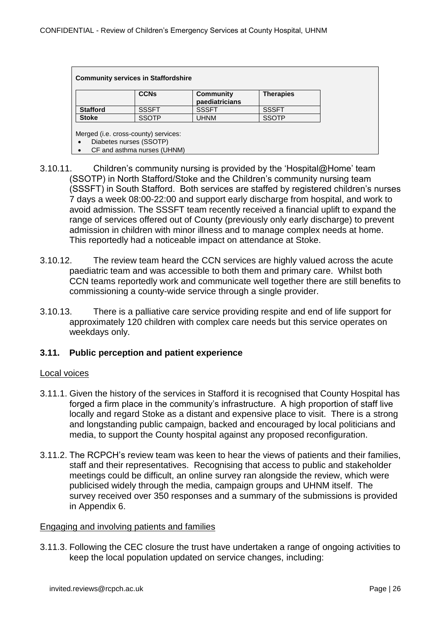| <b>Community services in Staffordshire</b> |              |                                    |                  |
|--------------------------------------------|--------------|------------------------------------|------------------|
|                                            | <b>CCNs</b>  | <b>Community</b><br>paediatricians | <b>Therapies</b> |
| <b>Stafford</b>                            | <b>SSSFT</b> | <b>SSSFT</b>                       | <b>SSSFT</b>     |
| <b>Stoke</b>                               | <b>SSOTP</b> | <b>UHNM</b>                        | <b>SSOTP</b>     |

Merged (i.e. cross-county) services:

- Diabetes nurses (SSOTP)
- CF and asthma nurses (UHNM)
- 3.10.11. Children's community nursing is provided by the 'Hospital@Home' team (SSOTP) in North Stafford/Stoke and the Children's community nursing team (SSSFT) in South Stafford. Both services are staffed by registered children's nurses 7 days a week 08:00-22:00 and support early discharge from hospital, and work to avoid admission. The SSSFT team recently received a financial uplift to expand the range of services offered out of County (previously only early discharge) to prevent admission in children with minor illness and to manage complex needs at home. This reportedly had a noticeable impact on attendance at Stoke.
- 3.10.12. The review team heard the CCN services are highly valued across the acute paediatric team and was accessible to both them and primary care. Whilst both CCN teams reportedly work and communicate well together there are still benefits to commissioning a county-wide service through a single provider.
- 3.10.13. There is a palliative care service providing respite and end of life support for approximately 120 children with complex care needs but this service operates on weekdays only.

#### <span id="page-28-0"></span>**3.11. Public perception and patient experience**

#### Local voices

- 3.11.1. Given the history of the services in Stafford it is recognised that County Hospital has forged a firm place in the community's infrastructure. A high proportion of staff live locally and regard Stoke as a distant and expensive place to visit. There is a strong and longstanding public campaign, backed and encouraged by local politicians and media, to support the County hospital against any proposed reconfiguration.
- 3.11.2. The RCPCH's review team was keen to hear the views of patients and their families, staff and their representatives. Recognising that access to public and stakeholder meetings could be difficult, an online survey ran alongside the review, which were publicised widely through the media, campaign groups and UHNM itself. The survey received over 350 responses and a summary of the submissions is provided in Appendix 6.

#### Engaging and involving patients and families

3.11.3. Following the CEC closure the trust have undertaken a range of ongoing activities to keep the local population updated on service changes, including: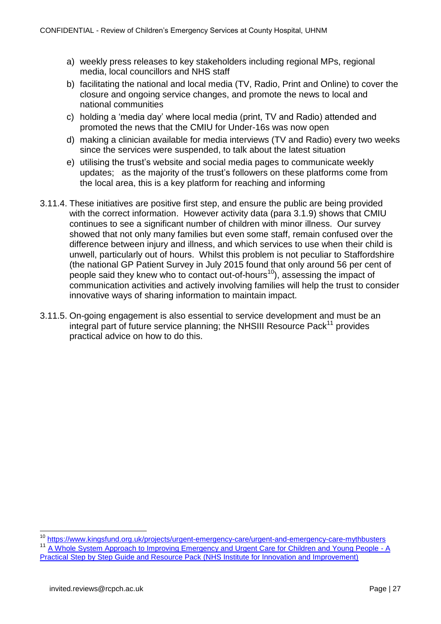- a) weekly press releases to key stakeholders including regional MPs, regional media, local councillors and NHS staff
- b) facilitating the national and local media (TV, Radio, Print and Online) to cover the closure and ongoing service changes, and promote the news to local and national communities
- c) holding a 'media day' where local media (print, TV and Radio) attended and promoted the news that the CMIU for Under-16s was now open
- d) making a clinician available for media interviews (TV and Radio) every two weeks since the services were suspended, to talk about the latest situation
- e) utilising the trust's website and social media pages to communicate weekly updates; as the majority of the trust's followers on these platforms come from the local area, this is a key platform for reaching and informing
- 3.11.4. These initiatives are positive first step, and ensure the public are being provided with the correct information. However activity data (para 3.1.9) shows that CMIU continues to see a significant number of children with minor illness. Our survey showed that not only many families but even some staff, remain confused over the difference between injury and illness, and which services to use when their child is unwell, particularly out of hours. Whilst this problem is not peculiar to Staffordshire (the national GP Patient Survey in July 2015 found that only around 56 per cent of people said they knew who to contact out-of-hours<sup>10</sup>), assessing the impact of communication activities and actively involving families will help the trust to consider innovative ways of sharing information to maintain impact.
- 3.11.5. On-going engagement is also essential to service development and must be an integral part of future service planning; the NHSIII Resource Pack<sup>11</sup> provides practical advice on how to do this.

 $\overline{1}$ 

<sup>&</sup>lt;sup>10</sup> <https://www.kingsfund.org.uk/projects/urgent-emergency-care/urgent-and-emergency-care-mythbusters>

<sup>&</sup>lt;sup>11</sup> [A Whole System Approach to Improving Emergency and Urgent Care for Children and Young People -](https://www.rcem.ac.uk/docs/Paediatric%20EM%20Guidance/11.%20A%20Whole%20System%20Approach%20to%20Improving%20Emergency%20and%20Urgent%20Care%20for%20CYP.pdf) A [Practical Step by Step Guide and Resource Pack \(NHS Institute for Innovation and Improvement\)](https://www.rcem.ac.uk/docs/Paediatric%20EM%20Guidance/11.%20A%20Whole%20System%20Approach%20to%20Improving%20Emergency%20and%20Urgent%20Care%20for%20CYP.pdf)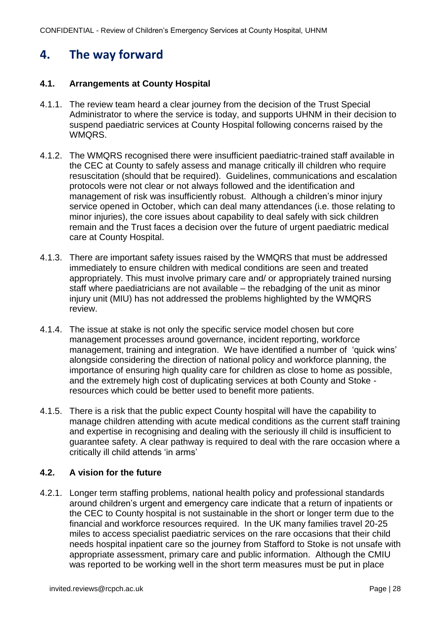# <span id="page-30-0"></span>**4. The way forward**

#### <span id="page-30-1"></span>**4.1. Arrangements at County Hospital**

- 4.1.1. The review team heard a clear journey from the decision of the Trust Special Administrator to where the service is today, and supports UHNM in their decision to suspend paediatric services at County Hospital following concerns raised by the WMQRS.
- 4.1.2. The WMQRS recognised there were insufficient paediatric-trained staff available in the CEC at County to safely assess and manage critically ill children who require resuscitation (should that be required). Guidelines, communications and escalation protocols were not clear or not always followed and the identification and management of risk was insufficiently robust. Although a children's minor injury service opened in October, which can deal many attendances (i.e. those relating to minor injuries), the core issues about capability to deal safely with sick children remain and the Trust faces a decision over the future of urgent paediatric medical care at County Hospital.
- 4.1.3. There are important safety issues raised by the WMQRS that must be addressed immediately to ensure children with medical conditions are seen and treated appropriately. This must involve primary care and/ or appropriately trained nursing staff where paediatricians are not available – the rebadging of the unit as minor injury unit (MIU) has not addressed the problems highlighted by the WMQRS review.
- 4.1.4. The issue at stake is not only the specific service model chosen but core management processes around governance, incident reporting, workforce management, training and integration. We have identified a number of 'quick wins' alongside considering the direction of national policy and workforce planning, the importance of ensuring high quality care for children as close to home as possible, and the extremely high cost of duplicating services at both County and Stoke resources which could be better used to benefit more patients.
- 4.1.5. There is a risk that the public expect County hospital will have the capability to manage children attending with acute medical conditions as the current staff training and expertise in recognising and dealing with the seriously ill child is insufficient to guarantee safety. A clear pathway is required to deal with the rare occasion where a critically ill child attends 'in arms'

#### <span id="page-30-2"></span>**4.2. A vision for the future**

4.2.1. Longer term staffing problems, national health policy and professional standards around children's urgent and emergency care indicate that a return of inpatients or the CEC to County hospital is not sustainable in the short or longer term due to the financial and workforce resources required. In the UK many families travel 20-25 miles to access specialist paediatric services on the rare occasions that their child needs hospital inpatient care so the journey from Stafford to Stoke is not unsafe with appropriate assessment, primary care and public information. Although the CMIU was reported to be working well in the short term measures must be put in place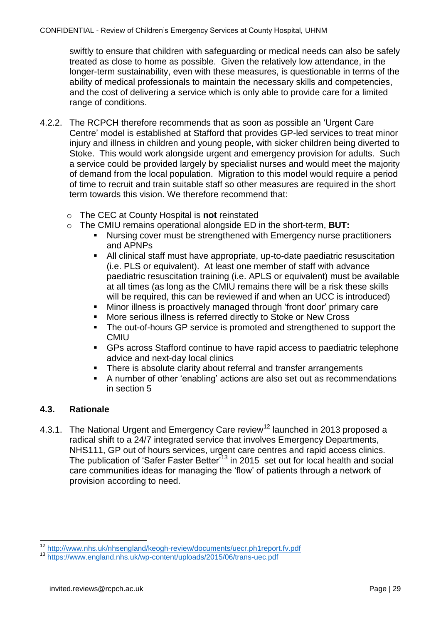swiftly to ensure that children with safeguarding or medical needs can also be safely treated as close to home as possible. Given the relatively low attendance, in the longer-term sustainability, even with these measures, is questionable in terms of the ability of medical professionals to maintain the necessary skills and competencies, and the cost of delivering a service which is only able to provide care for a limited range of conditions.

- 4.2.2. The RCPCH therefore recommends that as soon as possible an 'Urgent Care Centre' model is established at Stafford that provides GP-led services to treat minor injury and illness in children and young people, with sicker children being diverted to Stoke. This would work alongside urgent and emergency provision for adults. Such a service could be provided largely by specialist nurses and would meet the majority of demand from the local population. Migration to this model would require a period of time to recruit and train suitable staff so other measures are required in the short term towards this vision. We therefore recommend that:
	- o The CEC at County Hospital is **not** reinstated
	- o The CMIU remains operational alongside ED in the short-term, **BUT:**
		- **Nursing cover must be strengthened with Emergency nurse practitioners** and APNPs
		- All clinical staff must have appropriate, up-to-date paediatric resuscitation (i.e. PLS or equivalent). At least one member of staff with advance paediatric resuscitation training (i.e. APLS or equivalent) must be available at all times (as long as the CMIU remains there will be a risk these skills will be required, this can be reviewed if and when an UCC is introduced)
		- Minor illness is proactively managed through 'front door' primary care
		- More serious illness is referred directly to Stoke or New Cross
		- The out-of-hours GP service is promoted and strengthened to support the **CMIU**
		- GPs across Stafford continue to have rapid access to paediatric telephone advice and next-day local clinics
		- There is absolute clarity about referral and transfer arrangements
		- A number of other 'enabling' actions are also set out as recommendations in section 5

# **4.3. Rationale**

4.3.1. The National Urgent and Emergency Care review<sup>12</sup> launched in 2013 proposed a radical shift to a 24/7 integrated service that involves Emergency Departments, NHS111, GP out of hours services, urgent care centres and rapid access clinics. The publication of 'Safer Faster Better<sup>713</sup> in 2015 set out for local health and social care communities ideas for managing the 'flow' of patients through a network of provision according to need.

 $\overline{a}$ <sup>12</sup> <http://www.nhs.uk/nhsengland/keogh-review/documents/uecr.ph1report.fv.pdf>

<sup>13</sup> <https://www.england.nhs.uk/wp-content/uploads/2015/06/trans-uec.pdf>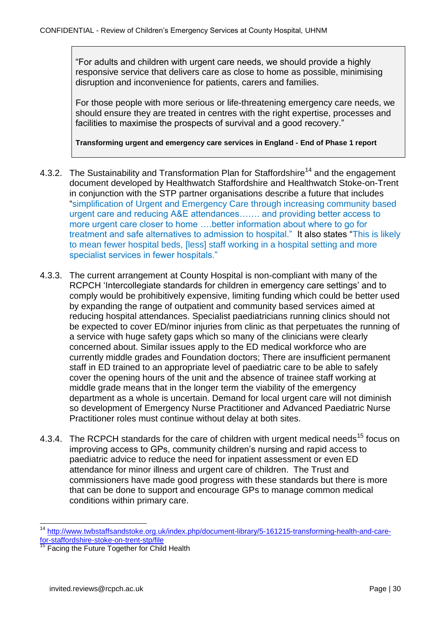"For adults and children with urgent care needs, we should provide a highly responsive service that delivers care as close to home as possible, minimising disruption and inconvenience for patients, carers and families.

For those people with more serious or life-threatening emergency care needs, we should ensure they are treated in centres with the right expertise, processes and facilities to maximise the prospects of survival and a good recovery."

**Transforming urgent and emergency care services in England - End of Phase 1 report**

- 4.3.2. The Sustainability and Transformation Plan for Staffordshire<sup>14</sup> and the engagement document developed by Healthwatch Staffordshire and Healthwatch Stoke-on-Trent in conjunction with the STP partner organisations describe a future that includes "simplification of Urgent and Emergency Care through increasing community based urgent care and reducing A&E attendances……. and providing better access to more urgent care closer to home .... better information about where to go for treatment and safe alternatives to admission to hospital." It also states "This is likely to mean fewer hospital beds, [less] staff working in a hospital setting and more specialist services in fewer hospitals."
- 4.3.3. The current arrangement at County Hospital is non-compliant with many of the RCPCH 'Intercollegiate standards for children in emergency care settings' and to comply would be prohibitively expensive, limiting funding which could be better used by expanding the range of outpatient and community based services aimed at reducing hospital attendances. Specialist paediatricians running clinics should not be expected to cover ED/minor injuries from clinic as that perpetuates the running of a service with huge safety gaps which so many of the clinicians were clearly concerned about. Similar issues apply to the ED medical workforce who are currently middle grades and Foundation doctors; There are insufficient permanent staff in ED trained to an appropriate level of paediatric care to be able to safely cover the opening hours of the unit and the absence of trainee staff working at middle grade means that in the longer term the viability of the emergency department as a whole is uncertain. Demand for local urgent care will not diminish so development of Emergency Nurse Practitioner and Advanced Paediatric Nurse Practitioner roles must continue without delay at both sites.
- 4.3.4. The RCPCH standards for the care of children with urgent medical needs<sup>15</sup> focus on improving access to GPs, community children's nursing and rapid access to paediatric advice to reduce the need for inpatient assessment or even ED attendance for minor illness and urgent care of children. The Trust and commissioners have made good progress with these standards but there is more that can be done to support and encourage GPs to manage common medical conditions within primary care.

-

<sup>14</sup> [http://www.twbstaffsandstoke.org.uk/index.php/document-library/5-161215-transforming-health-and-care](http://www.twbstaffsandstoke.org.uk/index.php/document-library/5-161215-transforming-health-and-care-for-staffordshire-stoke-on-trent-stp/file)[for-staffordshire-stoke-on-trent-stp/file](http://www.twbstaffsandstoke.org.uk/index.php/document-library/5-161215-transforming-health-and-care-for-staffordshire-stoke-on-trent-stp/file)

<sup>&</sup>lt;sup>15</sup> Facing the Future Together for Child Health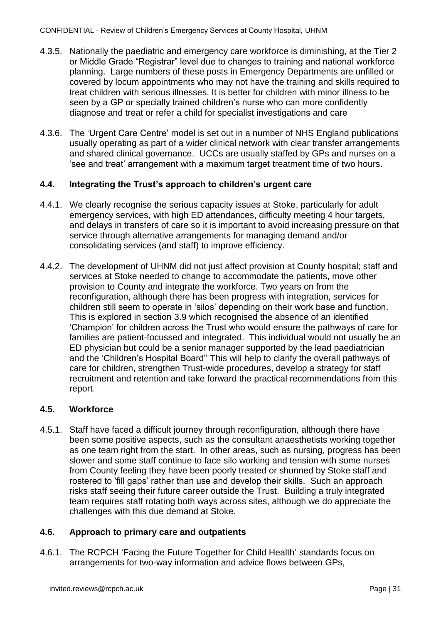- 4.3.5. Nationally the paediatric and emergency care workforce is diminishing, at the Tier 2 or Middle Grade "Registrar" level due to changes to training and national workforce planning. Large numbers of these posts in Emergency Departments are unfilled or covered by locum appointments who may not have the training and skills required to treat children with serious illnesses. It is better for children with minor illness to be seen by a GP or specially trained children's nurse who can more confidently diagnose and treat or refer a child for specialist investigations and care
- 4.3.6. The 'Urgent Care Centre' model is set out in a number of NHS England publications usually operating as part of a wider clinical network with clear transfer arrangements and shared clinical governance. UCCs are usually staffed by GPs and nurses on a 'see and treat' arrangement with a maximum target treatment time of two hours.

#### <span id="page-33-0"></span>**4.4. Integrating the Trust's approach to children's urgent care**

- 4.4.1. We clearly recognise the serious capacity issues at Stoke, particularly for adult emergency services, with high ED attendances, difficulty meeting 4 hour targets, and delays in transfers of care so it is important to avoid increasing pressure on that service through alternative arrangements for managing demand and/or consolidating services (and staff) to improve efficiency.
- 4.4.2. The development of UHNM did not just affect provision at County hospital; staff and services at Stoke needed to change to accommodate the patients, move other provision to County and integrate the workforce. Two years on from the reconfiguration, although there has been progress with integration, services for children still seem to operate in 'silos' depending on their work base and function. This is explored in section 3.9 which recognised the absence of an identified 'Champion' for children across the Trust who would ensure the pathways of care for families are patient-focussed and integrated. This individual would not usually be an ED physician but could be a senior manager supported by the lead paediatrician and the 'Children's Hospital Board'' This will help to clarify the overall pathways of care for children, strengthen Trust-wide procedures, develop a strategy for staff recruitment and retention and take forward the practical recommendations from this report.

#### <span id="page-33-1"></span>**4.5. Workforce**

4.5.1. Staff have faced a difficult journey through reconfiguration, although there have been some positive aspects, such as the consultant anaesthetists working together as one team right from the start. In other areas, such as nursing, progress has been slower and some staff continue to face silo working and tension with some nurses from County feeling they have been poorly treated or shunned by Stoke staff and rostered to 'fill gaps' rather than use and develop their skills. Such an approach risks staff seeing their future career outside the Trust. Building a truly integrated team requires staff rotating both ways across sites, although we do appreciate the challenges with this due demand at Stoke.

#### <span id="page-33-2"></span>**4.6. Approach to primary care and outpatients**

4.6.1. The RCPCH 'Facing the Future Together for Child Health' standards focus on arrangements for two-way information and advice flows between GPs,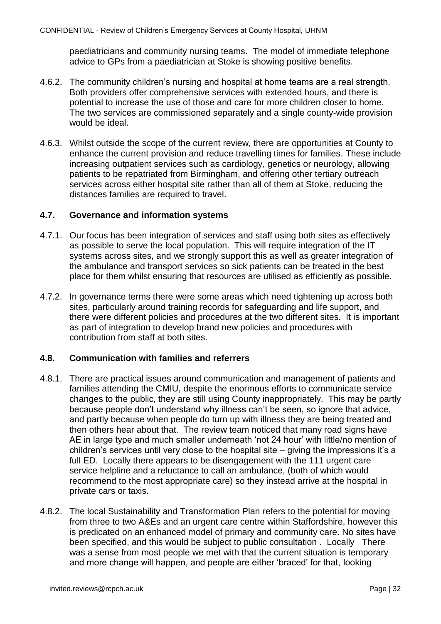paediatricians and community nursing teams. The model of immediate telephone advice to GPs from a paediatrician at Stoke is showing positive benefits.

- 4.6.2. The community children's nursing and hospital at home teams are a real strength. Both providers offer comprehensive services with extended hours, and there is potential to increase the use of those and care for more children closer to home. The two services are commissioned separately and a single county-wide provision would be ideal.
- 4.6.3. Whilst outside the scope of the current review, there are opportunities at County to enhance the current provision and reduce travelling times for families. These include increasing outpatient services such as cardiology, genetics or neurology, allowing patients to be repatriated from Birmingham, and offering other tertiary outreach services across either hospital site rather than all of them at Stoke, reducing the distances families are required to travel.

#### <span id="page-34-0"></span>**4.7. Governance and information systems**

- 4.7.1. Our focus has been integration of services and staff using both sites as effectively as possible to serve the local population. This will require integration of the IT systems across sites, and we strongly support this as well as greater integration of the ambulance and transport services so sick patients can be treated in the best place for them whilst ensuring that resources are utilised as efficiently as possible.
- 4.7.2. In governance terms there were some areas which need tightening up across both sites, particularly around training records for safeguarding and life support, and there were different policies and procedures at the two different sites. It is important as part of integration to develop brand new policies and procedures with contribution from staff at both sites.

#### <span id="page-34-1"></span>**4.8. Communication with families and referrers**

- 4.8.1. There are practical issues around communication and management of patients and families attending the CMIU, despite the enormous efforts to communicate service changes to the public, they are still using County inappropriately. This may be partly because people don't understand why illness can't be seen, so ignore that advice, and partly because when people do turn up with illness they are being treated and then others hear about that. The review team noticed that many road signs have AE in large type and much smaller underneath 'not 24 hour' with little/no mention of children's services until very close to the hospital site – giving the impressions it's a full ED. Locally there appears to be disengagement with the 111 urgent care service helpline and a reluctance to call an ambulance, (both of which would recommend to the most appropriate care) so they instead arrive at the hospital in private cars or taxis.
- 4.8.2. The local Sustainability and Transformation Plan refers to the potential for moving from three to two A&Es and an urgent care centre within Staffordshire, however this is predicated on an enhanced model of primary and community care. No sites have been specified, and this would be subiect to public consultation, Locally There was a sense from most people we met with that the current situation is temporary and more change will happen, and people are either 'braced' for that, looking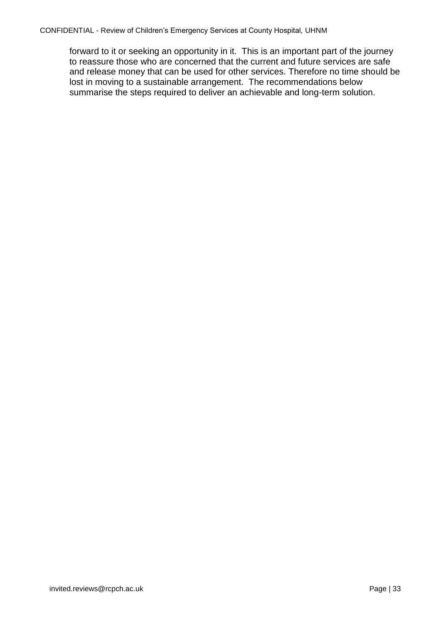<span id="page-35-0"></span>forward to it or seeking an opportunity in it. This is an important part of the journey to reassure those who are concerned that the current and future services are safe and release money that can be used for other services. Therefore no time should be lost in moving to a sustainable arrangement. The recommendations below summarise the steps required to deliver an achievable and long-term solution.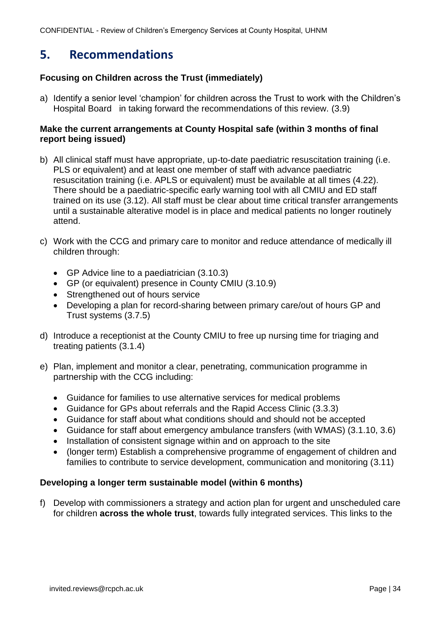# **5. Recommendations**

# **Focusing on Children across the Trust (immediately)**

a) Identify a senior level 'champion' for children across the Trust to work with the Children's Hospital Board in taking forward the recommendations of this review. (3.9)

### **Make the current arrangements at County Hospital safe (within 3 months of final report being issued)**

- b) All clinical staff must have appropriate, up-to-date paediatric resuscitation training (i.e. PLS or equivalent) and at least one member of staff with advance paediatric resuscitation training (i.e. APLS or equivalent) must be available at all times (4.22). There should be a paediatric-specific early warning tool with all CMIU and ED staff trained on its use (3.12). All staff must be clear about time critical transfer arrangements until a sustainable alterative model is in place and medical patients no longer routinely attend.
- c) Work with the CCG and primary care to monitor and reduce attendance of medically ill children through:
	- GP Advice line to a paediatrician (3.10.3)
	- GP (or equivalent) presence in County CMIU (3.10.9)
	- Strengthened out of hours service
	- Developing a plan for record-sharing between primary care/out of hours GP and Trust systems (3.7.5)
- d) Introduce a receptionist at the County CMIU to free up nursing time for triaging and treating patients (3.1.4)
- e) Plan, implement and monitor a clear, penetrating, communication programme in partnership with the CCG including:
	- Guidance for families to use alternative services for medical problems
	- Guidance for GPs about referrals and the Rapid Access Clinic (3.3.3)
	- Guidance for staff about what conditions should and should not be accepted
	- Guidance for staff about emergency ambulance transfers (with WMAS) (3.1.10, 3.6)
	- Installation of consistent signage within and on approach to the site
	- (longer term) Establish a comprehensive programme of engagement of children and families to contribute to service development, communication and monitoring (3.11)

# **Developing a longer term sustainable model (within 6 months)**

f) Develop with commissioners a strategy and action plan for urgent and unscheduled care for children **across the whole trust**, towards fully integrated services. This links to the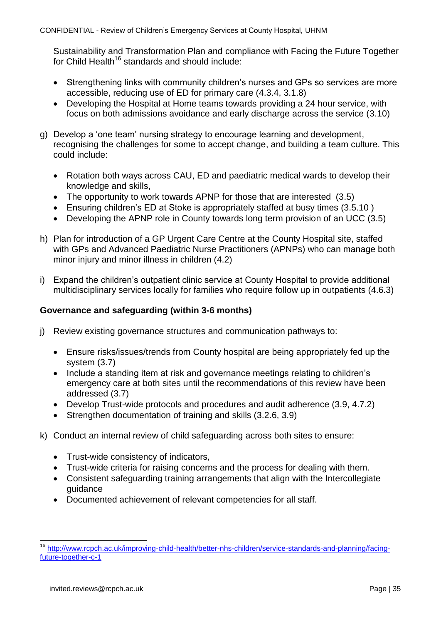Sustainability and Transformation Plan and compliance with Facing the Future Together for Child Health<sup>16</sup> standards and should include:

- Strengthening links with community children's nurses and GPs so services are more accessible, reducing use of ED for primary care (4.3.4, 3.1.8)
- Developing the Hospital at Home teams towards providing a 24 hour service, with focus on both admissions avoidance and early discharge across the service (3.10)
- g) Develop a 'one team' nursing strategy to encourage learning and development, recognising the challenges for some to accept change, and building a team culture. This could include:
	- Rotation both ways across CAU, ED and paediatric medical wards to develop their knowledge and skills,
	- The opportunity to work towards APNP for those that are interested (3.5)
	- Ensuring children's ED at Stoke is appropriately staffed at busy times (3.5.10 )
	- Developing the APNP role in County towards long term provision of an UCC (3.5)
- h) Plan for introduction of a GP Urgent Care Centre at the County Hospital site, staffed with GPs and Advanced Paediatric Nurse Practitioners (APNPs) who can manage both minor injury and minor illness in children (4.2)
- i) Expand the children's outpatient clinic service at County Hospital to provide additional multidisciplinary services locally for families who require follow up in outpatients (4.6.3)

### **Governance and safeguarding (within 3-6 months)**

- j) Review existing governance structures and communication pathways to:
	- Ensure risks/issues/trends from County hospital are being appropriately fed up the system (3.7)
	- Include a standing item at risk and governance meetings relating to children's emergency care at both sites until the recommendations of this review have been addressed (3.7)
	- Develop Trust-wide protocols and procedures and audit adherence (3.9, 4.7.2)
	- Strengthen documentation of training and skills (3.2.6, 3.9)
- k) Conduct an internal review of child safeguarding across both sites to ensure:
	- Trust-wide consistency of indicators,
	- Trust-wide criteria for raising concerns and the process for dealing with them.
	- Consistent safeguarding training arrangements that align with the Intercollegiate guidance
	- Documented achievement of relevant competencies for all staff.

 $\overline{a}$ <sup>16</sup> [http://www.rcpch.ac.uk/improving-child-health/better-nhs-children/service-standards-and-planning/facing](http://www.rcpch.ac.uk/improving-child-health/better-nhs-children/service-standards-and-planning/facing-future-together-c-1)[future-together-c-1](http://www.rcpch.ac.uk/improving-child-health/better-nhs-children/service-standards-and-planning/facing-future-together-c-1)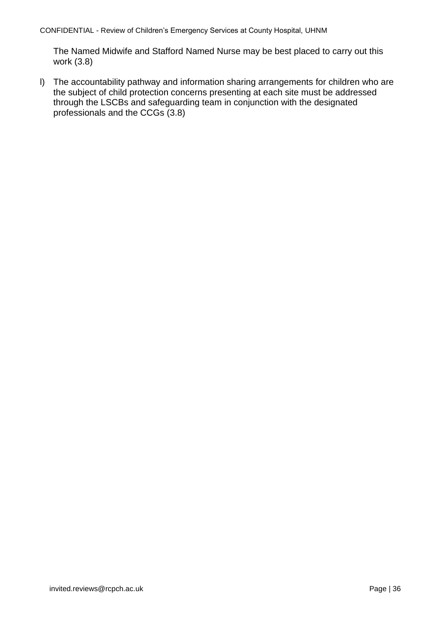The Named Midwife and Stafford Named Nurse may be best placed to carry out this work (3.8)

l) The accountability pathway and information sharing arrangements for children who are the subject of child protection concerns presenting at each site must be addressed through the LSCBs and safeguarding team in conjunction with the designated professionals and the CCGs (3.8)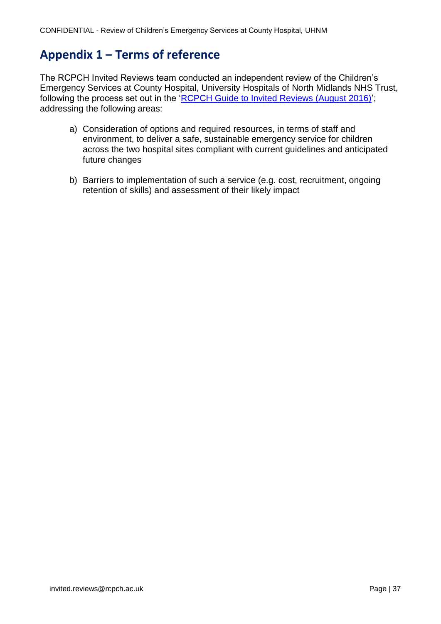# <span id="page-39-0"></span>**Appendix 1 – Terms of reference**

The RCPCH Invited Reviews team conducted an independent review of the Children's Emergency Services at County Hospital, University Hospitals of North Midlands NHS Trust, following the process set out in the ['RCPCH Guide to Invited Reviews \(August 2016\)'](http://www.rcpch.ac.uk/system/files/protected/page/160816%20%20RCPCH%20Reviews%20Guide%20August%20%202016.pdf); addressing the following areas:

- a) Consideration of options and required resources, in terms of staff and environment, to deliver a safe, sustainable emergency service for children across the two hospital sites compliant with current guidelines and anticipated future changes
- b) Barriers to implementation of such a service (e.g. cost, recruitment, ongoing retention of skills) and assessment of their likely impact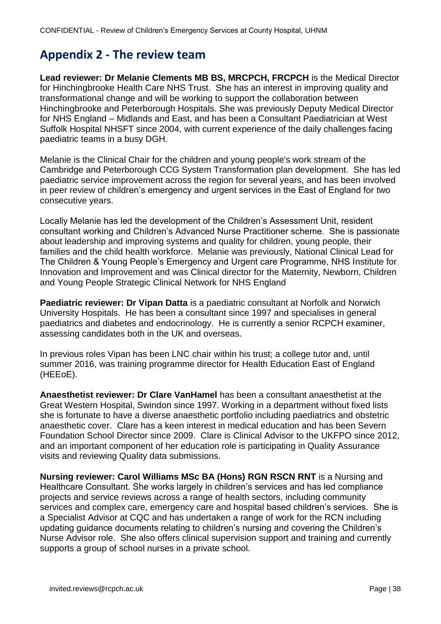# <span id="page-40-0"></span>**Appendix 2 - The review team**

**Lead reviewer: Dr Melanie Clements MB BS, MRCPCH, FRCPCH** is the Medical Director for Hinchingbrooke Health Care NHS Trust. She has an interest in improving quality and transformational change and will be working to support the collaboration between Hinchingbrooke and Peterborough Hospitals. She was previously Deputy Medical Director for NHS England – Midlands and East, and has been a Consultant Paediatrician at West Suffolk Hospital NHSFT since 2004, with current experience of the daily challenges facing paediatric teams in a busy DGH.

Melanie is the Clinical Chair for the children and young people's work stream of the Cambridge and Peterborough CCG System Transformation plan development. She has led paediatric service improvement across the region for several years, and has been involved in peer review of children's emergency and urgent services in the East of England for two consecutive years.

Locally Melanie has led the development of the Children's Assessment Unit, resident consultant working and Children's Advanced Nurse Practitioner scheme. She is passionate about leadership and improving systems and quality for children, young people, their families and the child health workforce. Melanie was previously, National Clinical Lead for The Children & Young People's Emergency and Urgent care Programme, NHS Institute for Innovation and Improvement and was Clinical director for the Maternity, Newborn, Children and Young People Strategic Clinical Network for NHS England

**Paediatric reviewer: Dr Vipan Datta** is a paediatric consultant at Norfolk and Norwich University Hospitals. He has been a consultant since 1997 and specialises in general paediatrics and diabetes and endocrinology. He is currently a senior RCPCH examiner, assessing candidates both in the UK and overseas.

In previous roles Vipan has been LNC chair within his trust; a college tutor and, until summer 2016, was training programme director for Health Education East of England (HEEoE).

**Anaesthetist reviewer: Dr Clare VanHamel** has been a consultant anaesthetist at the Great Western Hospital, Swindon since 1997. Working in a department without fixed lists she is fortunate to have a diverse anaesthetic portfolio including paediatrics and obstetric anaesthetic cover. Clare has a keen interest in medical education and has been Severn Foundation School Director since 2009. Clare is Clinical Advisor to the UKFPO since 2012, and an important component of her education role is participating in Quality Assurance visits and reviewing Quality data submissions.

**Nursing reviewer: Carol Williams MSc BA (Hons) RGN RSCN RNT** is a Nursing and Healthcare Consultant. She works largely in children's services and has led compliance projects and service reviews across a range of health sectors, including community services and complex care, emergency care and hospital based children's services. She is a Specialist Advisor at CQC and has undertaken a range of work for the RCN including updating guidance documents relating to children's nursing and covering the Children's Nurse Advisor role. She also offers clinical supervision support and training and currently supports a group of school nurses in a private school.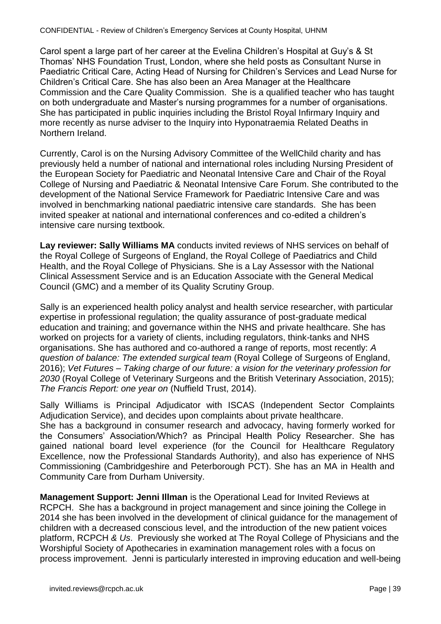Carol spent a large part of her career at the Evelina Children's Hospital at Guy's & St Thomas' NHS Foundation Trust, London, where she held posts as Consultant Nurse in Paediatric Critical Care, Acting Head of Nursing for Children's Services and Lead Nurse for Children's Critical Care. She has also been an Area Manager at the Healthcare Commission and the Care Quality Commission. She is a qualified teacher who has taught on both undergraduate and Master's nursing programmes for a number of organisations. She has participated in public inquiries including the Bristol Royal Infirmary Inquiry and more recently as nurse adviser to the Inquiry into Hyponatraemia Related Deaths in Northern Ireland.

Currently, Carol is on the Nursing Advisory Committee of the WellChild charity and has previously held a number of national and international roles including Nursing President of the European Society for Paediatric and Neonatal Intensive Care and Chair of the Royal College of Nursing and Paediatric & Neonatal Intensive Care Forum. She contributed to the development of the National Service Framework for Paediatric Intensive Care and was involved in benchmarking national paediatric intensive care standards. She has been invited speaker at national and international conferences and co-edited a children's intensive care nursing textbook.

**Lay reviewer: Sally Williams MA** conducts invited reviews of NHS services on behalf of the Royal College of Surgeons of England, the Royal College of Paediatrics and Child Health, and the Royal College of Physicians. She is a Lay Assessor with the National Clinical Assessment Service and is an Education Associate with the General Medical Council (GMC) and a member of its Quality Scrutiny Group.

Sally is an experienced health policy analyst and health service researcher, with particular expertise in professional regulation; the quality assurance of post-graduate medical education and training; and governance within the NHS and private healthcare. She has worked on projects for a variety of clients, including regulators, think-tanks and NHS organisations. She has authored and co-authored a range of reports, most recently: *A question of balance: The extended surgical team* (Royal College of Surgeons of England, 2016); *Vet Futures – Taking charge of our future: a vision for the veterinary profession for 2030* (Royal College of Veterinary Surgeons and the British Veterinary Association, 2015); *The Francis Report: one year on* (Nuffield Trust, 2014).

Sally Williams is Principal Adjudicator with ISCAS (Independent Sector Complaints Adjudication Service), and decides upon complaints about private healthcare. She has a background in consumer research and advocacy, having formerly worked for the Consumers' Association/Which? as Principal Health Policy Researcher. She has gained national board level experience (for the Council for Healthcare Regulatory Excellence, now the Professional Standards Authority), and also has experience of NHS Commissioning (Cambridgeshire and Peterborough PCT). She has an MA in Health and Community Care from Durham University.

**Management Support: Jenni Illman** is the Operational Lead for Invited Reviews at RCPCH. She has a background in project management and since joining the College in 2014 she has been involved in the development of clinical guidance for the management of children with a decreased conscious level, and the introduction of the new patient voices platform, RCPCH *& Us*. Previously she worked at The Royal College of Physicians and the Worshipful Society of Apothecaries in examination management roles with a focus on process improvement. Jenni is particularly interested in improving education and well-being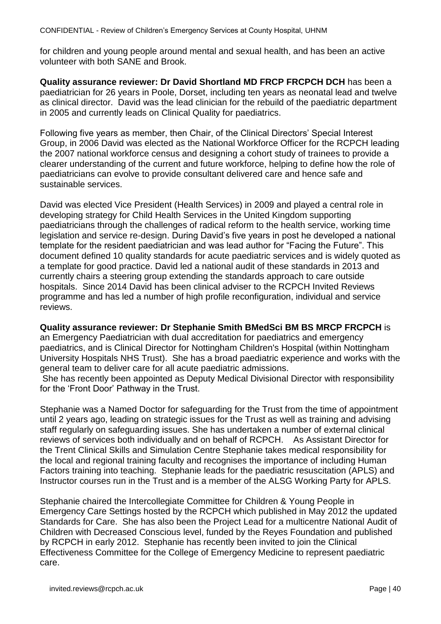for children and young people around mental and sexual health, and has been an active volunteer with both SANE and Brook.

**Quality assurance reviewer: Dr David Shortland MD FRCP FRCPCH DCH** has been a paediatrician for 26 years in Poole, Dorset, including ten years as neonatal lead and twelve as clinical director. David was the lead clinician for the rebuild of the paediatric department in 2005 and currently leads on Clinical Quality for paediatrics.

Following five years as member, then Chair, of the Clinical Directors' Special Interest Group, in 2006 David was elected as the National Workforce Officer for the RCPCH leading the 2007 national workforce census and designing a cohort study of trainees to provide a clearer understanding of the current and future workforce, helping to define how the role of paediatricians can evolve to provide consultant delivered care and hence safe and sustainable services.

David was elected Vice President (Health Services) in 2009 and played a central role in developing strategy for Child Health Services in the United Kingdom supporting paediatricians through the challenges of radical reform to the health service, working time legislation and service re-design. During David's five years in post he developed a national template for the resident paediatrician and was lead author for "Facing the Future". This document defined 10 quality standards for acute paediatric services and is widely quoted as a template for good practice. David led a national audit of these standards in 2013 and currently chairs a steering group extending the standards approach to care outside hospitals. Since 2014 David has been clinical adviser to the RCPCH Invited Reviews programme and has led a number of high profile reconfiguration, individual and service reviews.

#### **Quality assurance reviewer: Dr Stephanie Smith BMedSci BM BS MRCP FRCPCH** is

an Emergency Paediatrician with dual accreditation for paediatrics and emergency paediatrics, and is Clinical Director for Nottingham Children's Hospital (within Nottingham University Hospitals NHS Trust). She has a broad paediatric experience and works with the general team to deliver care for all acute paediatric admissions.

She has recently been appointed as Deputy Medical Divisional Director with responsibility for the 'Front Door' Pathway in the Trust.

Stephanie was a Named Doctor for safeguarding for the Trust from the time of appointment until 2 years ago, leading on strategic issues for the Trust as well as training and advising staff regularly on safeguarding issues. She has undertaken a number of external clinical reviews of services both individually and on behalf of RCPCH. As Assistant Director for the Trent Clinical Skills and Simulation Centre Stephanie takes medical responsibility for the local and regional training faculty and recognises the importance of including Human Factors training into teaching. Stephanie leads for the paediatric resuscitation (APLS) and Instructor courses run in the Trust and is a member of the ALSG Working Party for APLS.

Stephanie chaired the Intercollegiate Committee for Children & Young People in Emergency Care Settings hosted by the RCPCH which published in May 2012 the updated Standards for Care. She has also been the Project Lead for a multicentre National Audit of Children with Decreased Conscious level, funded by the Reyes Foundation and published by RCPCH in early 2012. Stephanie has recently been invited to join the Clinical Effectiveness Committee for the College of Emergency Medicine to represent paediatric care.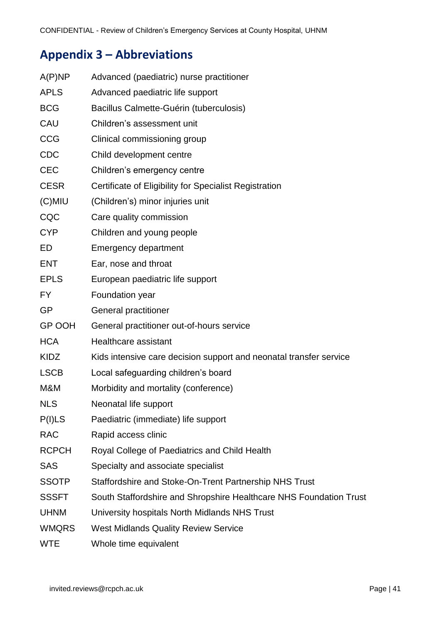# <span id="page-43-0"></span>**Appendix 3 – Abbreviations**

<span id="page-43-1"></span>

| A(P)NP        | Advanced (paediatric) nurse practitioner                           |
|---------------|--------------------------------------------------------------------|
| <b>APLS</b>   | Advanced paediatric life support                                   |
| <b>BCG</b>    | Bacillus Calmette-Guérin (tuberculosis)                            |
| CAU           | Children's assessment unit                                         |
| CCG           | Clinical commissioning group                                       |
| <b>CDC</b>    | Child development centre                                           |
| <b>CEC</b>    | Children's emergency centre                                        |
| <b>CESR</b>   | Certificate of Eligibility for Specialist Registration             |
| $(C)$ MIU     | (Children's) minor injuries unit                                   |
| CQC           | Care quality commission                                            |
| <b>CYP</b>    | Children and young people                                          |
| ED            | <b>Emergency department</b>                                        |
| <b>ENT</b>    | Ear, nose and throat                                               |
| <b>EPLS</b>   | European paediatric life support                                   |
| <b>FY</b>     | Foundation year                                                    |
| <b>GP</b>     | General practitioner                                               |
| <b>GP OOH</b> | General practitioner out-of-hours service                          |
| <b>HCA</b>    | Healthcare assistant                                               |
| <b>KIDZ</b>   | Kids intensive care decision support and neonatal transfer service |
| <b>LSCB</b>   | Local safeguarding children's board                                |
| M&M           | Morbidity and mortality (conference)                               |
| <b>NLS</b>    | Neonatal life support                                              |
| P(I)LS        | Paediatric (immediate) life support                                |
| <b>RAC</b>    | Rapid access clinic                                                |
| <b>RCPCH</b>  | Royal College of Paediatrics and Child Health                      |
| <b>SAS</b>    | Specialty and associate specialist                                 |
| <b>SSOTP</b>  | Staffordshire and Stoke-On-Trent Partnership NHS Trust             |
| <b>SSSFT</b>  | South Staffordshire and Shropshire Healthcare NHS Foundation Trust |
| <b>UHNM</b>   | University hospitals North Midlands NHS Trust                      |
| <b>WMQRS</b>  | <b>West Midlands Quality Review Service</b>                        |
| <b>WTE</b>    | Whole time equivalent                                              |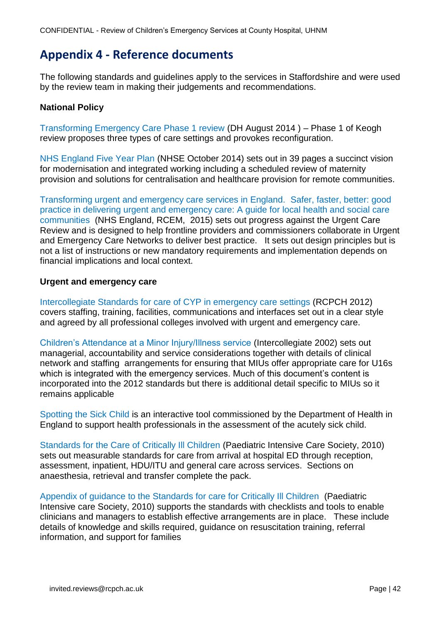# **Appendix 4 - Reference documents**

The following standards and guidelines apply to the services in Staffordshire and were used by the review team in making their judgements and recommendations.

### **National Policy**

[Transforming Emergency Care Phase 1 review](http://www.nhs.uk/NHSEngland/keogh-review/Documents/UECR.Ph1Report.FV.pdf) (DH August 2014 ) – Phase 1 of Keogh review proposes three types of care settings and provokes reconfiguration.

[NHS England Five Year Plan](http://www.england.nhs.uk/wp-content/uploads/2014/10/5yfv-web.pdf) (NHSE October 2014) sets out in 39 pages a succinct vision for modernisation and integrated working including a scheduled review of maternity provision and solutions for centralisation and healthcare provision for remote communities.

[Transforming urgent and emergency care services in England.](https://www.england.nhs.uk/wp-content/uploads/2015/06/trans-uec.pdf) Safer, faster, better: good [practice in delivering urgent and emergency care: A guide for local health and social care](https://www.england.nhs.uk/wp-content/uploads/2015/06/trans-uec.pdf)  [communities](https://www.england.nhs.uk/wp-content/uploads/2015/06/trans-uec.pdf) (NHS England, RCEM, 2015) sets out progress against the Urgent Care Review and is designed to help frontline providers and commissioners collaborate in Urgent and Emergency Care Networks to deliver best practice. It sets out design principles but is not a list of instructions or new mandatory requirements and implementation depends on financial implications and local context.

#### **Urgent and emergency care**

[Intercollegiate Standards for care of CYP in emergency care settings](http://www.rcpch.ac.uk/emergencycare) (RCPCH 2012) covers staffing, training, facilities, communications and interfaces set out in a clear style and agreed by all professional colleges involved with urgent and emergency care.

[Children's Attendance at a Minor Injury/Illness service](http://www.rcpch.ac.uk/sites/default/files/asset_library/Publications/C/MIS.pdf) (Intercollegiate 2002) sets out managerial, accountability and service considerations together with details of clinical network and staffing arrangements for ensuring that MIUs offer appropriate care for U16s which is integrated with the emergency services. Much of this document's content is incorporated into the 2012 standards but there is additional detail specific to MIUs so it remains applicable

[Spotting the Sick Child](https://www.spottingthesickchild.com/) is an interactive tool commissioned by the Department of Health in England to support health professionals in the assessment of the acutely sick child.

[Standards for the Care of Critically Ill Children](http://www.ukpics.org.uk/documents/PICS_standards.pdf) (Paediatric Intensive Care Society, 2010) sets out measurable standards for care from arrival at hospital ED through reception, assessment, inpatient, HDU/ITU and general care across services. Sections on anaesthesia, retrieval and transfer complete the pack.

[Appendix of guidance to the Standards for care for Critically Ill Children](http://www.ukpics.org.uk/documents/PICS%20Appx%204th%20Edn%20V2%2020100707.pdf) (Paediatric Intensive care Society, 2010) supports the standards with checklists and tools to enable clinicians and managers to establish effective arrangements are in place. These include details of knowledge and skills required, guidance on resuscitation training, referral information, and support for families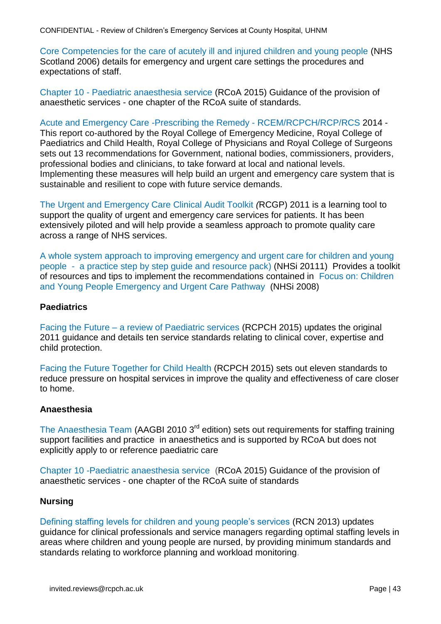CONFIDENTIAL - Review of Children's Emergency Services at County Hospital, UHNM

[Core Competencies for the care of acutely ill and injured children and young people](http://www.knowledge.scot.nhs.uk/media/CLT/ResourceUploads/1010032/Core%20Comps%20final%20version.pdf) (NHS Scotland 2006) details for emergency and urgent care settings the procedures and expectations of staff.

Chapter 10 - [Paediatric anaesthesia service](http://www.rcoa.ac.uk/system/files/GPAS-2015-10-PAEDIATRICS.pdf) (RCoA 2015) Guidance of the provision of anaesthetic services - one chapter of the RCoA suite of standards.

[Acute and Emergency Care -Prescribing the Remedy -](http://www.rcem.ac.uk/RCEM/Quality_Policy/Policy/Reports_and_Briefings/RCEM/Quality-Policy/Policy/Reports_Briefings.aspx?hkey=e8bd132d-7c5e-426d-b0ac-d06e5ccb3293) RCEM/RCPCH/RCP/RCS 2014 - This report co-authored by the Royal College of Emergency Medicine, Royal College of Paediatrics and Child Health, Royal College of Physicians and Royal College of Surgeons sets out 13 recommendations for Government, national bodies, commissioners, providers, professional bodies and clinicians, to take forward at local and national levels. Implementing these measures will help build an urgent and emergency care system that is sustainable and resilient to cope with future service demands.

[The Urgent and Emergency Care Clinical Audit Toolkit](http://www.rcpch.ac.uk/system/files/protected/page/Urgent%20and%20Emergency%20Care%20Toolkit%20ashx.pdf) *(*RCGP) 2011 is a learning tool to support the quality of urgent and emergency care services for patients. It has been extensively piloted and will help provide a seamless approach to promote quality care across a range of NHS services.

[A whole system approach to improving emergency and urgent care for children and young](https://www.rcem.ac.uk/docs/Paediatric%20EM%20Guidance/11.%20A%20Whole%20System%20Approach%20to%20Improving%20Emergency%20and%20Urgent%20Care%20for%20CYP.pdf)  people - [a practice step by step guide and resource pack\)](https://www.rcem.ac.uk/docs/Paediatric%20EM%20Guidance/11.%20A%20Whole%20System%20Approach%20to%20Improving%20Emergency%20and%20Urgent%20Care%20for%20CYP.pdf) (NHSi 20111) Provides a toolkit of resources and tips to implement the recommendations contained in [Focus on: Children](http://www.rcpch.ac.uk/sites/default/files/asset_library/Health%20Services/DVQ_S2_Children_opt2.pdf)  [and Young People Emergency and Urgent Care Pathway](http://www.rcpch.ac.uk/sites/default/files/asset_library/Health%20Services/DVQ_S2_Children_opt2.pdf) (NHSi 2008)

#### **Paediatrics**

[Facing the Future](http://www.rcpch.ac.uk/facingthefuture) – a review of Paediatric services (RCPCH 2015) updates the original 2011 guidance and details ten service standards relating to clinical cover, expertise and child protection.

[Facing the Future Together for Child Health \(RCPCH 2015\)](http://www.rcpch.ac.uk/facing-future-together-child-health) sets out eleven standards to reduce pressure on hospital services in improve the quality and effectiveness of care closer to home.

#### **Anaesthesia**

[The Anaesthesia Team](http://www.aagbi.org/sites/default/files/anaesthesia_team_2010_0.pdf) (AAGBI 2010 3<sup>rd</sup> edition) sets out requirements for staffing training support facilities and practice in anaesthetics and is supported by RCoA but does not explicitly apply to or reference paediatric care

[Chapter 10 -Paediatric anaesthesia service](http://www.rcoa.ac.uk/system/files/GPAS-2015-10-PAEDIATRICS.pdf) (RCoA 2015) Guidance of the provision of anaesthetic services - one chapter of the RCoA suite of standards

#### **Nursing**

[Defining staffing levels for children and young people's services](http://www.rcn.org.uk/__data/assets/pdf_file/0004/78592/002172.pdf) (RCN 2013) updates guidance for clinical professionals and service managers regarding optimal staffing levels in areas where children and young people are nursed, by providing minimum standards and standards relating to workforce planning and workload monitoring.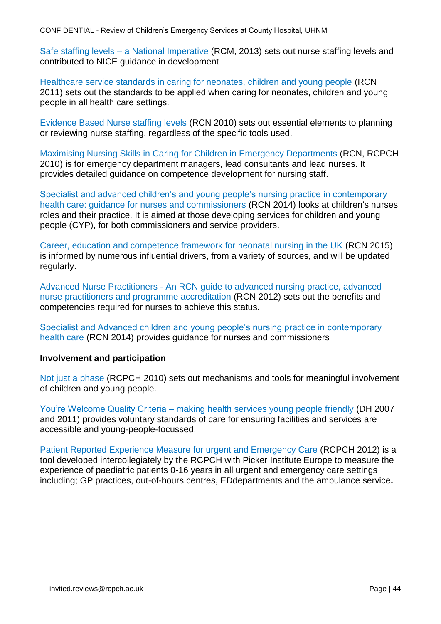Safe staffing levels – [a National Imperative](http://www.rcn.org.uk/__data/assets/pdf_file/0018/541224/004504.pdf) (RCM, 2013) sets out nurse staffing levels and contributed to NICE guidance in development

[Healthcare service standards in caring for neonates, children and young people](http://www.rcn.org.uk/__data/assets/pdf_file/0010/378091/003823.pdf) (RCN 2011) sets out the standards to be applied when caring for neonates, children and young people in all health care settings.

Evidence Based [Nurse staffing levels](https://www2.rcn.org.uk/__data/assets/pdf_file/0004/377896/Staffing_levels_Policy_Position.pdf) (RCN 2010) sets out essential elements to planning or reviewing nurse staffing, regardless of the specific tools used.

[Maximising Nursing Skills in Caring for Children in Emergency Departments](http://www.rcn.org.uk/__data/assets/pdf_file/0009/323577/003821.pdf) (RCN, RCPCH 2010) is for emergency department managers, lead consultants and lead nurses. It provides detailed guidance on competence development for nursing staff.

[Specialist and advanced children's and young people's nursing practice in contemporary](https://www2.rcn.org.uk/__data/assets/pdf_file/0009/580725/004579.pdf)  [health care: guidance for nurses and commissioners](https://www2.rcn.org.uk/__data/assets/pdf_file/0009/580725/004579.pdf) (RCN 2014) looks at children's nurses roles and their practice. It is aimed at those developing services for children and young people (CYP), for both commissioners and service providers.

[Career, education and competence framework for neonatal nursing in the UK](https://www.rcn.org.uk/professional-development/publications/pub-004641) (RCN 2015) is informed by numerous influential drivers, from a variety of sources, and will be updated regularly.

[Advanced Nurse Practitioners](https://www2.rcn.org.uk/__data/assets/pdf_file/0003/146478/003207.pdf) - An RCN guide to advanced nursing practice, advanced nurse practitioners and programme accreditation (RCN 2012) sets out the benefits and competencies required for nurses to achieve this status.

[Specialist and Advanced children and young people's nursing practice in contemporary](https://www2.rcn.org.uk/__data/assets/pdf_file/0009/580725/004579.pdf)  [health care](https://www2.rcn.org.uk/__data/assets/pdf_file/0009/580725/004579.pdf) (RCN 2014) provides guidance for nurses and commissioners

#### **Involvement and participation**

[Not just a phase](http://www.rcpch.ac.uk/what-we-do/children-and-young-peoples-participation/publications/not-just-phase/not-just-phase) (RCPCH 2010) sets out mechanisms and tools for meaningful involvement of children and young people.

[You're Welcome Quality Criteria](https://www.gov.uk/government/publications/quality-criteria-for-young-people-friendly-health-services) – making health services young people friendly (DH 2007 and 2011) provides voluntary standards of care for ensuring facilities and services are accessible and young-people-focussed.

[Patient Reported Experience Measure for urgent and Emergency Care](http://www.rcpch.ac.uk/child-health/research-projects/patient-reported-experience-measure-prem/patient-reported-experience) (RCPCH 2012) is a tool developed intercollegiately by the RCPCH with Picker Institute Europe to measure the experience of paediatric patients 0-16 years in all urgent and emergency care settings including; GP practices, out-of-hours centres, EDdepartments and the ambulance service**.**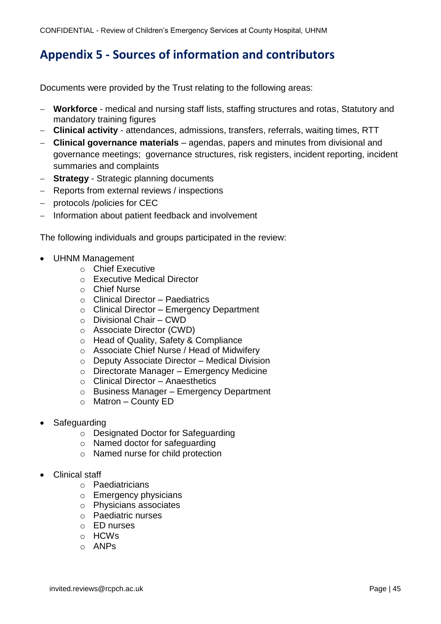# <span id="page-47-0"></span>**Appendix 5 - Sources of information and contributors**

Documents were provided by the Trust relating to the following areas:

- **Workforce** medical and nursing staff lists, staffing structures and rotas, Statutory and mandatory training figures
- **Clinical activity** attendances, admissions, transfers, referrals, waiting times, RTT
- **Clinical governance materials** agendas, papers and minutes from divisional and governance meetings; governance structures, risk registers, incident reporting, incident summaries and complaints
- **Strategy** Strategic planning documents
- Reports from external reviews / inspections
- protocols /policies for CEC
- Information about patient feedback and involvement

The following individuals and groups participated in the review:

- UHNM Management
	- o Chief Executive
	- o Executive Medical Director
	- o Chief Nurse
	- o Clinical Director Paediatrics
	- o Clinical Director Emergency Department
	- o Divisional Chair CWD
	- o Associate Director (CWD)
	- o Head of Quality, Safety & Compliance
	- o Associate Chief Nurse / Head of Midwifery
	- o Deputy Associate Director Medical Division
	- o Directorate Manager Emergency Medicine
	- o Clinical Director Anaesthetics
	- o Business Manager Emergency Department
	- o Matron County ED
- **Safeguarding** 
	- o Designated Doctor for Safeguarding
	- o Named doctor for safeguarding
	- o Named nurse for child protection
- Clinical staff
	- o Paediatricians
	- o Emergency physicians
	- o Physicians associates
	- o Paediatric nurses
	- o ED nurses
	- o HCWs
	- o ANPs